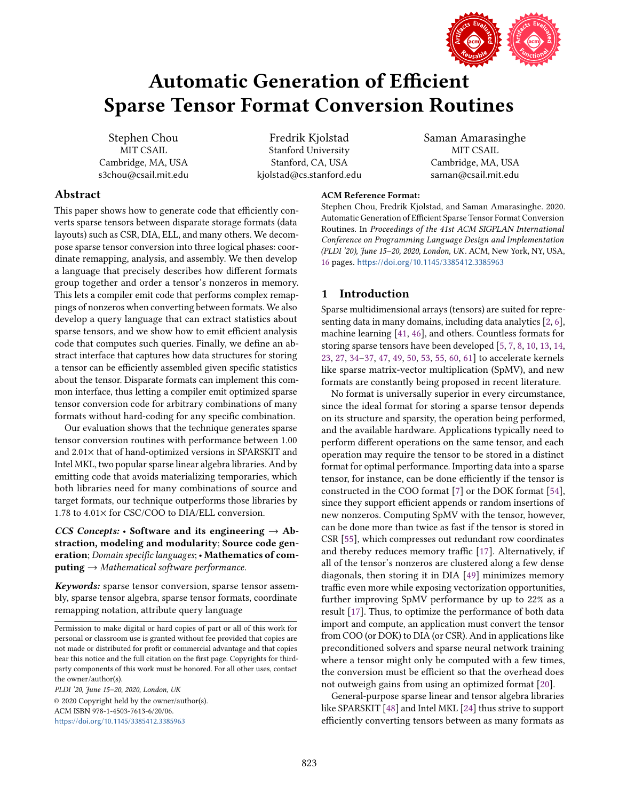

Saman Amarasinghe MIT CSAIL Cambridge, MA, USA saman@csail.mit.edu

# Automatic Generation of Efficient Sparse Tensor Format Conversion Routines

Stephen Chou MIT CSAIL Cambridge, MA, USA s3chou@csail.mit.edu

Fredrik Kjolstad Stanford University Stanford, CA, USA kjolstad@cs.stanford.edu

# Abstract

This paper shows how to generate code that efficiently converts sparse tensors between disparate storage formats (data layouts) such as CSR, DIA, ELL, and many others. We decompose sparse tensor conversion into three logical phases: coordinate remapping, analysis, and assembly. We then develop a language that precisely describes how different formats group together and order a tensor's nonzeros in memory. This lets a compiler emit code that performs complex remappings of nonzeros when converting between formats. We also develop a query language that can extract statistics about sparse tensors, and we show how to emit efficient analysis code that computes such queries. Finally, we define an abstract interface that captures how data structures for storing a tensor can be efficiently assembled given specific statistics about the tensor. Disparate formats can implement this common interface, thus letting a compiler emit optimized sparse tensor conversion code for arbitrary combinations of many formats without hard-coding for any specific combination.

Our evaluation shows that the technique generates sparse tensor conversion routines with performance between 1.00 and 2.01× that of hand-optimized versions in SPARSKIT and Intel MKL, two popular sparse linear algebra libraries. And by emitting code that avoids materializing temporaries, which both libraries need for many combinations of source and target formats, our technique outperforms those libraries by 1.78 to 4.01× for CSC/COO to DIA/ELL conversion.

CCS Concepts: • Software and its engineering  $\rightarrow$  Abstraction, modeling and modularity; Source code generation; Domain specific languages; · Mathematics of com $puting \rightarrow Mathematical software performance.$ 

Keywords: sparse tensor conversion, sparse tensor assembly, sparse tensor algebra, sparse tensor formats, coordinate remapping notation, attribute query language

PLDI '20, June 15-20, 2020, London, UK © 2020 Copyright held by the owner/author(s).

ACM ISBN 978-1-4503-7613-6/20/06. <https://doi.org/10.1145/3385412.3385963>

## ACM Reference Format:

Stephen Chou, Fredrik Kjolstad, and Saman Amarasinghe. 2020. Automatic Generation of Efficient Sparse Tensor Format Conversion Routines. In Proceedings of the 41st ACM SIGPLAN International Conference on Programming Language Design and Implementation (PLDI '20), June 15-20, 2020, London, UK. ACM, New York, NY, USA, [16](#page-15-0) pages. <https://doi.org/10.1145/3385412.3385963>

# 1 Introduction

Sparse multidimensional arrays (tensors) are suited for representing data in many domains, including data analytics [\[2,](#page-14-0) [6\]](#page-14-1), machine learning [\[41,](#page-15-1) [46\]](#page-15-2), and others. Countless formats for storing sparse tensors have been developed [\[5,](#page-14-2) [7,](#page-14-3) [8,](#page-14-4) [10,](#page-14-5) [13,](#page-14-6) [14,](#page-14-7) [23,](#page-14-8) [27,](#page-14-9) 34-[37,](#page-15-3) [47,](#page-15-4) [49,](#page-15-5) [50,](#page-15-6) [53,](#page-15-7) [55,](#page-15-8) [60,](#page-15-9) [61\]](#page-15-10) to accelerate kernels like sparse matrix-vector multiplication (SpMV), and new formats are constantly being proposed in recent literature.

No format is universally superior in every circumstance, since the ideal format for storing a sparse tensor depends on its structure and sparsity, the operation being performed, and the available hardware. Applications typically need to perform different operations on the same tensor, and each operation may require the tensor to be stored in a distinct format for optimal performance. Importing data into a sparse tensor, for instance, can be done efficiently if the tensor is constructed in the COO format [\[7\]](#page-14-3) or the DOK format [\[54\]](#page-15-11), since they support efficient appends or random insertions of new nonzeros. Computing SpMV with the tensor, however, can be done more than twice as fast if the tensor is stored in CSR [\[55\]](#page-15-8), which compresses out redundant row coordinates and thereby reduces memory traffic [\[17\]](#page-14-11). Alternatively, if all of the tensor's nonzeros are clustered along a few dense diagonals, then storing it in DIA [\[49\]](#page-15-5) minimizes memory traffic even more while exposing vectorization opportunities, further improving SpMV performance by up to 22% as a result [\[17\]](#page-14-11). Thus, to optimize the performance of both data import and compute, an application must convert the tensor from COO (or DOK) to DIA (or CSR). And in applications like preconditioned solvers and sparse neural network training where a tensor might only be computed with a few times, the conversion must be efficient so that the overhead does not outweigh gains from using an optimized format [\[20\]](#page-14-12).

General-purpose sparse linear and tensor algebra libraries like SPARSKIT [\[48\]](#page-15-12) and Intel MKL [\[24\]](#page-14-13) thus strive to support efficiently converting tensors between as many formats as

Permission to make digital or hard copies of part or all of this work for personal or classroom use is granted without fee provided that copies are not made or distributed for profit or commercial advantage and that copies bear this notice and the full citation on the first page. Copyrights for thirdparty components of this work must be honored. For all other uses, contact the owner/author(s).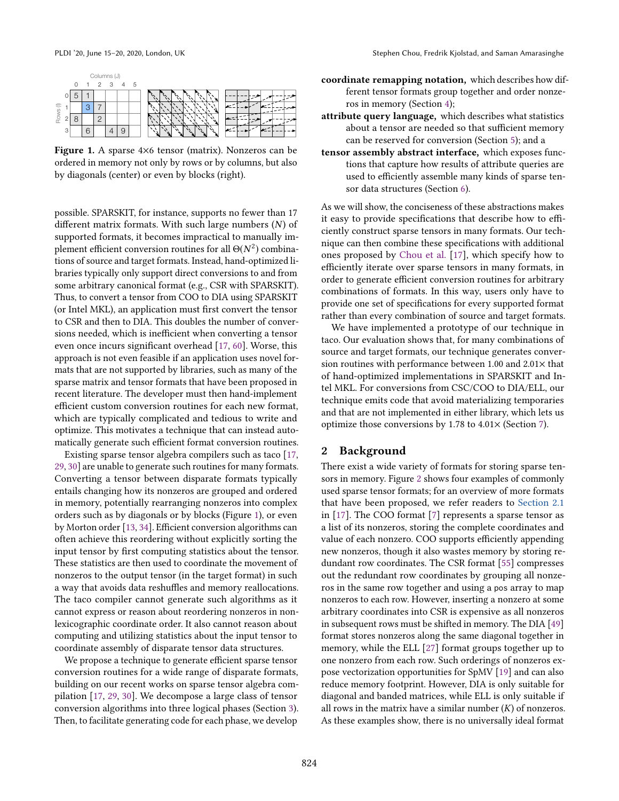<span id="page-1-0"></span>

|                       |   |   | Columns (J)   |  |  |  |
|-----------------------|---|---|---------------|--|--|--|
|                       |   |   | $0$ 1 2 3 4 5 |  |  |  |
| $\widehat{=}$<br>Rows |   |   |               |  |  |  |
|                       |   |   |               |  |  |  |
|                       | റ | n | C             |  |  |  |
|                       | 3 |   |               |  |  |  |

Figure 1. A sparse 4×6 tensor (matrix). Nonzeros can be ordered in memory not only by rows or by columns, but also by diagonals (center) or even by blocks (right).

possible. SPARSKIT, for instance, supports no fewer than 17 different matrix formats. With such large numbers  $(N)$  of supported formats, it becomes impractical to manually implement efficient conversion routines for all  $\Theta(N^2)$  combinations of source and target formats. Instead, hand-optimized libraries typically only support direct conversions to and from some arbitrary canonical format (e.g., CSR with SPARSKIT). Thus, to convert a tensor from COO to DIA using SPARSKIT (or Intel MKL), an application must first convert the tensor to CSR and then to DIA. This doubles the number of conversions needed, which is inefficient when converting a tensor even once incurs significant overhead [\[17,](#page-14-11) [60\]](#page-15-9). Worse, this approach is not even feasible if an application uses novel formats that are not supported by libraries, such as many of the sparse matrix and tensor formats that have been proposed in recent literature. The developer must then hand-implement efficient custom conversion routines for each new format, which are typically complicated and tedious to write and optimize. This motivates a technique that can instead automatically generate such efficient format conversion routines.

Existing sparse tensor algebra compilers such as taco [\[17,](#page-14-11) [29,](#page-14-14) [30\]](#page-14-15) are unable to generate such routines for many formats. Converting a tensor between disparate formats typically entails changing how its nonzeros are grouped and ordered in memory, potentially rearranging nonzeros into complex orders such as by diagonals or by blocks (Figure [1\)](#page-1-0), or even by Morton order [\[13,](#page-14-6) [34\]](#page-14-10). Efficient conversion algorithms can often achieve this reordering without explicitly sorting the input tensor by first computing statistics about the tensor. These statistics are then used to coordinate the movement of nonzeros to the output tensor (in the target format) in such a way that avoids data reshuffles and memory reallocations. The taco compiler cannot generate such algorithms as it cannot express or reason about reordering nonzeros in nonlexicographic coordinate order. It also cannot reason about computing and utilizing statistics about the input tensor to coordinate assembly of disparate tensor data structures.

We propose a technique to generate efficient sparse tensor conversion routines for a wide range of disparate formats, building on our recent works on sparse tensor algebra compilation [\[17,](#page-14-11) [29,](#page-14-14) [30\]](#page-14-15). We decompose a large class of tensor conversion algorithms into three logical phases (Section [3\)](#page-3-0). Then, to facilitate generating code for each phase, we develop

- coordinate remapping notation, which describes how different tensor formats group together and order nonzeros in memory (Section [4\)](#page-4-0);
- attribute query language, which describes what statistics about a tensor are needed so that sufficient memory can be reserved for conversion (Section [5\)](#page-6-0); and a
- tensor assembly abstract interface, which exposes functions that capture how results of attribute queries are used to efficiently assemble many kinds of sparse tensor data structures (Section [6\)](#page-8-0).

As we will show, the conciseness of these abstractions makes it easy to provide specifications that describe how to efficiently construct sparse tensors in many formats. Our technique can then combine these specifications with additional ones proposed by [Chou et al.](#page-14-11) [\[17\]](#page-14-11), which specify how to efficiently iterate over sparse tensors in many formats, in order to generate efficient conversion routines for arbitrary combinations of formats. In this way, users only have to provide one set of specifications for every supported format rather than every combination of source and target formats.

We have implemented a prototype of our technique in taco. Our evaluation shows that, for many combinations of source and target formats, our technique generates conversion routines with performance between 1.00 and 2.01× that of hand-optimized implementations in SPARSKIT and Intel MKL. For conversions from CSC/COO to DIA/ELL, our technique emits code that avoid materializing temporaries and that are not implemented in either library, which lets us optimize those conversions by 1.78 to 4.01× (Section [7\)](#page-11-0).

#### <span id="page-1-1"></span>2 Background

There exist a wide variety of formats for storing sparse tensors in memory. Figure [2](#page-2-0) shows four examples of commonly used sparse tensor formats; for an overview of more formats that have been proposed, we refer readers to [Section 2.1](https://arxiv.org/pdf/1804.10112.pdf#subsection.2.1) in [\[17\]](#page-14-11). The COO format [\[7\]](#page-14-3) represents a sparse tensor as a list of its nonzeros, storing the complete coordinates and value of each nonzero. COO supports efficiently appending new nonzeros, though it also wastes memory by storing redundant row coordinates. The CSR format [\[55\]](#page-15-8) compresses out the redundant row coordinates by grouping all nonzeros in the same row together and using a pos array to map nonzeros to each row. However, inserting a nonzero at some arbitrary coordinates into CSR is expensive as all nonzeros in subsequent rows must be shifted in memory. The DIA [\[49\]](#page-15-5) format stores nonzeros along the same diagonal together in memory, while the ELL [\[27\]](#page-14-9) format groups together up to one nonzero from each row. Such orderings of nonzeros expose vectorization opportunities for SpMV [\[19\]](#page-14-16) and can also reduce memory footprint. However, DIA is only suitable for diagonal and banded matrices, while ELL is only suitable if all rows in the matrix have a similar number  $(K)$  of nonzeros. As these examples show, there is no universally ideal format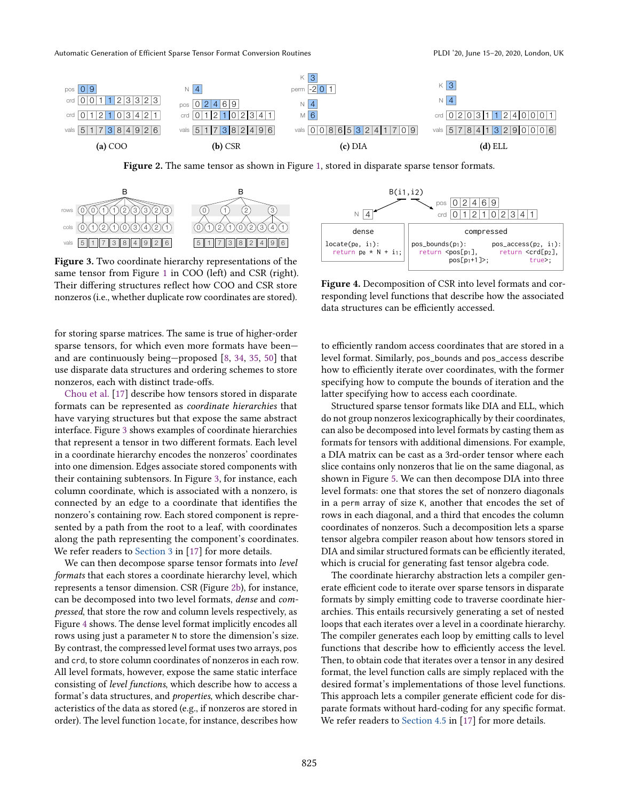Automatic Generation of Efficient Sparse Tensor Format Conversion Routines PLACE PLOI '20, June 15-20, 2020, London, UK

<span id="page-2-0"></span>

Figure 2. The same tensor as shown in Figure [1,](#page-1-0) stored in disparate sparse tensor formats.

<span id="page-2-1"></span>

Figure 3. Two coordinate hierarchy representations of the same tensor from Figure [1](#page-1-0) in COO (left) and CSR (right). Their differing structures reflect how COO and CSR store nonzeros (i.e., whether duplicate row coordinates are stored).

for storing sparse matrices. The same is true of higher-order sparse tensors, for which even more formats have beenand are continuously being $-p$ roposed  $[8, 34, 35, 50]$  $[8, 34, 35, 50]$  $[8, 34, 35, 50]$  $[8, 34, 35, 50]$  $[8, 34, 35, 50]$  $[8, 34, 35, 50]$  that use disparate data structures and ordering schemes to store nonzeros, each with distinct trade-offs.

[Chou et al.](#page-14-11) [\[17\]](#page-14-11) describe how tensors stored in disparate formats can be represented as coordinate hierarchies that have varying structures but that expose the same abstract interface. Figure [3](#page-2-1) shows examples of coordinate hierarchies that represent a tensor in two different formats. Each level in a coordinate hierarchy encodes the nonzeros' coordinates into one dimension. Edges associate stored components with their containing subtensors. In Figure [3,](#page-2-1) for instance, each column coordinate, which is associated with a nonzero, is connected by an edge to a coordinate that identifies the nonzero's containing row. Each stored component is represented by a path from the root to a leaf, with coordinates along the path representing the component's coordinates. We refer readers to [Section 3](https://arxiv.org/pdf/1804.10112.pdf#section.3) in [\[17\]](#page-14-11) for more details.

We can then decompose sparse tensor formats into level formats that each stores a coordinate hierarchy level, which represents a tensor dimension. CSR (Figure [2b\)](#page-2-0), for instance, can be decomposed into two level formats, dense and compressed, that store the row and column levels respectively, as Figure [4](#page-2-2) shows. The dense level format implicitly encodes all rows using just a parameter N to store the dimension's size. By contrast, the compressed level format uses two arrays, pos and crd, to store column coordinates of nonzeros in each row. All level formats, however, expose the same static interface consisting of level functions, which describe how to access a format's data structures, and properties, which describe characteristics of the data as stored (e.g., if nonzeros are stored in order). The level function locate, for instance, describes how

<span id="page-2-2"></span>

Figure 4. Decomposition of CSR into level formats and corresponding level functions that describe how the associated data structures can be efficiently accessed.

to efficiently random access coordinates that are stored in a level format. Similarly, pos\_bounds and pos\_access describe how to efficiently iterate over coordinates, with the former specifying how to compute the bounds of iteration and the latter specifying how to access each coordinate.

Structured sparse tensor formats like DIA and ELL, which do not group nonzeros lexicographically by their coordinates, can also be decomposed into level formats by casting them as formats for tensors with additional dimensions. For example, a DIA matrix can be cast as a 3rd-order tensor where each slice contains only nonzeros that lie on the same diagonal, as shown in Figure [5.](#page-3-1) We can then decompose DIA into three level formats: one that stores the set of nonzero diagonals in a perm array of size K, another that encodes the set of rows in each diagonal, and a third that encodes the column coordinates of nonzeros. Such a decomposition lets a sparse tensor algebra compiler reason about how tensors stored in DIA and similar structured formats can be efficiently iterated, which is crucial for generating fast tensor algebra code.

The coordinate hierarchy abstraction lets a compiler generate efficient code to iterate over sparse tensors in disparate formats by simply emitting code to traverse coordinate hierarchies. This entails recursively generating a set of nested loops that each iterates over a level in a coordinate hierarchy. The compiler generates each loop by emitting calls to level functions that describe how to efficiently access the level. Then, to obtain code that iterates over a tensor in any desired format, the level function calls are simply replaced with the desired format's implementations of those level functions. This approach lets a compiler generate efficient code for disparate formats without hard-coding for any specific format. We refer readers to [Section 4.5](https://arxiv.org/pdf/1804.10112.pdf#subsection.4.5) in [\[17\]](#page-14-11) for more details.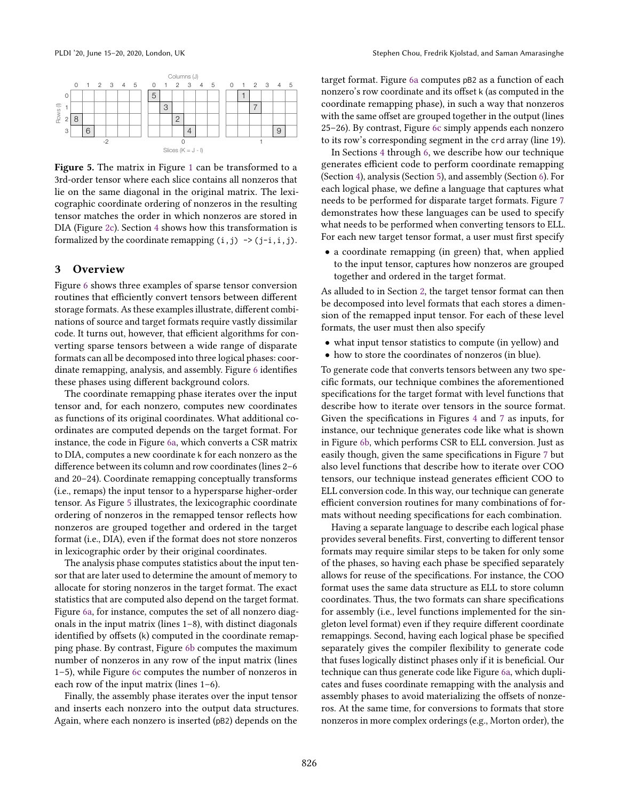<span id="page-3-1"></span>

Figure 5. The matrix in Figure [1](#page-1-0) can be transformed to a 3rd-order tensor where each slice contains all nonzeros that lie on the same diagonal in the original matrix. The lexicographic coordinate ordering of nonzeros in the resulting tensor matches the order in which nonzeros are stored in DIA (Figure [2c\)](#page-2-0). Section [4](#page-4-0) shows how this transformation is formalized by the coordinate remapping  $(i,j) \rightarrow (j-i,i,j)$ .

## <span id="page-3-0"></span>3 Overview

Figure [6](#page-4-1) shows three examples of sparse tensor conversion routines that efficiently convert tensors between different storage formats. As these examples illustrate, different combinations of source and target formats require vastly dissimilar code. It turns out, however, that efficient algorithms for converting sparse tensors between a wide range of disparate formats can all be decomposed into three logical phases: coordinate remapping, analysis, and assembly. Figure [6](#page-4-1) identifies these phases using different background colors.

The coordinate remapping phase iterates over the input tensor and, for each nonzero, computes new coordinates as functions of its original coordinates. What additional coordinates are computed depends on the target format. For instance, the code in Figure [6a,](#page-4-1) which converts a CSR matrix to DIA, computes a new coordinate k for each nonzero as the difference between its column and row coordinates (lines 2-6 and 20-24). Coordinate remapping conceptually transforms (i.e., remaps) the input tensor to a hypersparse higher-order tensor. As Figure [5](#page-3-1) illustrates, the lexicographic coordinate ordering of nonzeros in the remapped tensor reflects how nonzeros are grouped together and ordered in the target format (i.e., DIA), even if the format does not store nonzeros in lexicographic order by their original coordinates.

The analysis phase computes statistics about the input tensor that are later used to determine the amount of memory to allocate for storing nonzeros in the target format. The exact statistics that are computed also depend on the target format. Figure [6a,](#page-4-1) for instance, computes the set of all nonzero diagonals in the input matrix (lines  $1-8$ ), with distinct diagonals identified by offsets (k) computed in the coordinate remapping phase. By contrast, Figure [6b](#page-4-1) computes the maximum number of nonzeros in any row of the input matrix (lines  $1-5$ ), while Figure [6c](#page-4-1) computes the number of nonzeros in each row of the input matrix (lines  $1-6$ ).

Finally, the assembly phase iterates over the input tensor and inserts each nonzero into the output data structures. Again, where each nonzero is inserted (pB2) depends on the

target format. Figure [6a](#page-4-1) computes pB2 as a function of each nonzero's row coordinate and its offset k (as computed in the coordinate remapping phase), in such a way that nonzeros with the same offset are grouped together in the output (lines 25-26). By contrast, Figure [6c](#page-4-1) simply appends each nonzero to its row's corresponding segment in the crd array (line 19).

In Sections [4](#page-4-0) through [6,](#page-8-0) we describe how our technique generates efficient code to perform coordinate remapping (Section [4\)](#page-4-0), analysis (Section [5\)](#page-6-0), and assembly (Section [6\)](#page-8-0). For each logical phase, we define a language that captures what needs to be performed for disparate target formats. Figure [7](#page-4-2) demonstrates how these languages can be used to specify what needs to be performed when converting tensors to ELL. For each new target tensor format, a user must first specify

• a coordinate remapping (in green) that, when applied to the input tensor, captures how nonzeros are grouped together and ordered in the target format.

As alluded to in Section [2,](#page-1-1) the target tensor format can then be decomposed into level formats that each stores a dimension of the remapped input tensor. For each of these level formats, the user must then also specify

- what input tensor statistics to compute (in yellow) and
- how to store the coordinates of nonzeros (in blue).

To generate code that converts tensors between any two specific formats, our technique combines the aforementioned specifications for the target format with level functions that describe how to iterate over tensors in the source format. Given the specifications in Figures [4](#page-2-2) and [7](#page-4-2) as inputs, for instance, our technique generates code like what is shown in Figure [6b,](#page-4-1) which performs CSR to ELL conversion. Just as easily though, given the same specifications in Figure [7](#page-4-2) but also level functions that describe how to iterate over COO tensors, our technique instead generates efficient COO to ELL conversion code. In this way, our technique can generate efficient conversion routines for many combinations of formats without needing specifications for each combination.

Having a separate language to describe each logical phase provides several benefits. First, converting to different tensor formats may require similar steps to be taken for only some of the phases, so having each phase be specified separately allows for reuse of the specifications. For instance, the COO format uses the same data structure as ELL to store column coordinates. Thus, the two formats can share specifications for assembly (i.e., level functions implemented for the singleton level format) even if they require different coordinate remappings. Second, having each logical phase be specified separately gives the compiler flexibility to generate code that fuses logically distinct phases only if it is beneficial. Our technique can thus generate code like Figure [6a,](#page-4-1) which duplicates and fuses coordinate remapping with the analysis and assembly phases to avoid materializing the offsets of nonzeros. At the same time, for conversions to formats that store nonzeros in more complex orderings (e.g., Morton order), the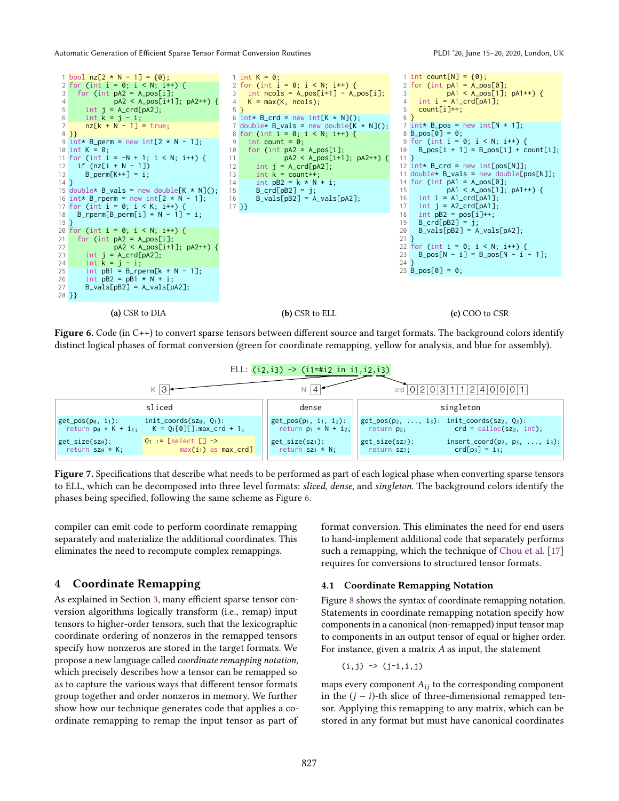Automatic Generation of Efficient Sparse Tensor Format Conversion Routines PLAC PLACE PLACE PLACE 20, June 15-20, 2020, London, UK

<span id="page-4-1"></span>

Figure 6. Code (in  $C^{++}$ ) to convert sparse tensors between different source and target formats. The background colors identify distinct logical phases of format conversion (green for coordinate remapping, yellow for analysis, and blue for assembly).

<span id="page-4-2"></span>

Figure 7. Specifications that describe what needs to be performed as part of each logical phase when converting sparse tensors to ELL, which can be decomposed into three level formats: sliced, dense, and singleton. The background colors identify the phases being specified, following the same scheme as Figure [6.](#page-4-1)

compiler can emit code to perform coordinate remapping separately and materialize the additional coordinates. This eliminates the need to recompute complex remappings.

# <span id="page-4-0"></span>4 Coordinate Remapping

As explained in Section [3,](#page-3-0) many efficient sparse tensor conversion algorithms logically transform (i.e., remap) input tensors to higher-order tensors, such that the lexicographic coordinate ordering of nonzeros in the remapped tensors specify how nonzeros are stored in the target formats. We propose a new language called coordinate remapping notation, which precisely describes how a tensor can be remapped so as to capture the various ways that different tensor formats group together and order nonzeros in memory. We further show how our technique generates code that applies a coordinate remapping to remap the input tensor as part of format conversion. This eliminates the need for end users to hand-implement additional code that separately performs such a remapping, which the technique of [Chou et al.](#page-14-11) [\[17\]](#page-14-11) requires for conversions to structured tensor formats.

#### 4.1 Coordinate Remapping Notation

Figure [8](#page-5-0) shows the syntax of coordinate remapping notation. Statements in coordinate remapping notation specify how components in a canonical (non-remapped) input tensor map to components in an output tensor of equal or higher order. For instance, given a matrix A as input, the statement

$$
(i, j) \rightarrow (j-i, i, j)
$$

maps every component  $A_{ij}$  to the corresponding component in the  $(j - i)$ -th slice of three-dimensional remapped tensor. Applying this remapping to any matrix, which can be stored in any format but must have canonical coordinates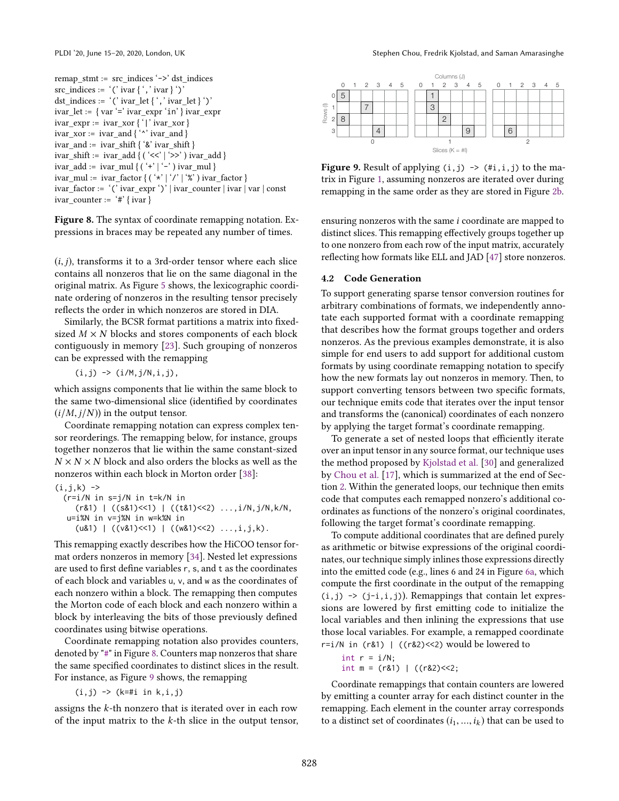<span id="page-5-0"></span>remap\_stmt := src\_indices '->' dst\_indices  $src\_indices := '('ivar {'', 'ivar '')}$ dst\_indices := '(' ivar\_let { ', ' ivar\_let } ')'  $ivar\_let := \{ var'='ivar\_expr' in' }ivar\_expr$ ivar\_expr := ivar\_xor { '|' ivar\_xor } ivar\_xor := ivar\_and { '^' ivar\_and } ivar\_and := ivar\_shift { '&' ivar\_shift } ivar\_shift := ivar\_add { ( '<<' | '>>' ) ivar\_add }  $\label{eq:var1} \text{ivar\_add} := \text{ ivar\_mul} \left\{\left(\begin{smallmatrix} \cdot&\cdot&\cdot&\cdot \end{smallmatrix}\right) \text{ ivar\_mul} \right\}$  $\begin{split} &\text{ivar\_mul} \coloneqq \text{ ivar\_factor} \left\{\left(\begin{smallmatrix} \cdot\star \\ \star\end{smallmatrix} \right| \begin{smallmatrix} \cdot\right\} \end{smallmatrix} \right. \begin{subarray}{c} \!\! \setlength{\begin{smallmatrix} \cdot\star\end{smallmatrix}} \end{subarray} \right) \text{ ivar\_factor} \left\} \end{split}$ ivar\_factor := '(' ivar\_expr ')' | ivar\_counter | ivar | var | const  $ivar\_counter := '#' {ivar}$ 

Figure 8. The syntax of coordinate remapping notation. Expressions in braces may be repeated any number of times.

 $(i, j)$ , transforms it to a 3rd-order tensor where each slice contains all nonzeros that lie on the same diagonal in the original matrix. As Figure [5](#page-3-1) shows, the lexicographic coordinate ordering of nonzeros in the resulting tensor precisely reflects the order in which nonzeros are stored in DIA.

Similarly, the BCSR format partitions a matrix into fixedsized  $M \times N$  blocks and stores components of each block contiguously in memory [\[23\]](#page-14-8). Such grouping of nonzeros can be expressed with the remapping

$$
(i,j) \rightarrow (i/M, j/N, i, j),
$$

which assigns components that lie within the same block to the same two-dimensional slice (identified by coordinates  $(i/M, j/N)$  in the output tensor.

Coordinate remapping notation can express complex tensor reorderings. The remapping below, for instance, groups together nonzeros that lie within the same constant-sized  $N \times N \times N$  block and also orders the blocks as well as the nonzeros within each block in Morton order [\[38\]](#page-15-13):

(i,j,k) -> (r=i/N in s=j/N in t=k/N in (r&1) | ((s&1)<<1) | ((t&1)<<2) ...,i/N,j/N,k/N, u=i%N in v=j%N in w=k%N in (u&1) | ((v&1)<<1) | ((w&1)<<2) ...,i,j,k).

This remapping exactly describes how the HiCOO tensor format orders nonzeros in memory [\[34\]](#page-14-10). Nested let expressions are used to first define variables r, s, and t as the coordinates of each block and variables u, v, and w as the coordinates of each nonzero within a block. The remapping then computes the Morton code of each block and each nonzero within a block by interleaving the bits of those previously defined coordinates using bitwise operations.

Coordinate remapping notation also provides counters, denoted by "#" in Figure [8.](#page-5-0) Counters map nonzeros that share the same specified coordinates to distinct slices in the result. For instance, as Figure [9](#page-5-1) shows, the remapping

 $(i, j)$  ->  $(k=#i in k, i, j)$ 

assigns the k-th nonzero that is iterated over in each row of the input matrix to the  $k$ -th slice in the output tensor,



<span id="page-5-1"></span>

**Figure 9.** Result of applying  $(i, j) \rightarrow (*i, i, j)$  to the matrix in Figure [1,](#page-1-0) assuming nonzeros are iterated over during remapping in the same order as they are stored in Figure [2b.](#page-2-0)

ensuring nonzeros with the same i coordinate are mapped to distinct slices. This remapping effectively groups together up to one nonzero from each row of the input matrix, accurately reflecting how formats like ELL and JAD [\[47\]](#page-15-4) store nonzeros.

#### <span id="page-5-2"></span>4.2 Code Generation

To support generating sparse tensor conversion routines for arbitrary combinations of formats, we independently annotate each supported format with a coordinate remapping that describes how the format groups together and orders nonzeros. As the previous examples demonstrate, it is also simple for end users to add support for additional custom formats by using coordinate remapping notation to specify how the new formats lay out nonzeros in memory. Then, to support converting tensors between two specific formats, our technique emits code that iterates over the input tensor and transforms the (canonical) coordinates of each nonzero by applying the target format's coordinate remapping.

To generate a set of nested loops that efficiently iterate over an input tensor in any source format, our technique uses the method proposed by [Kjolstad et al.](#page-14-15) [\[30\]](#page-14-15) and generalized by [Chou et al.](#page-14-11) [\[17\]](#page-14-11), which is summarized at the end of Section [2.](#page-1-1) Within the generated loops, our technique then emits code that computes each remapped nonzero's additional coordinates as functions of the nonzero's original coordinates, following the target format's coordinate remapping.

To compute additional coordinates that are defined purely as arithmetic or bitwise expressions of the original coordinates, our technique simply inlines those expressions directly into the emitted code (e.g., lines 6 and 24 in Figure [6a,](#page-4-1) which compute the first coordinate in the output of the remapping  $(i, j)$  ->  $(j-i, i, j)$ ). Remappings that contain let expressions are lowered by first emitting code to initialize the local variables and then inlining the expressions that use those local variables. For example, a remapped coordinate r=i/N in  $(r&1)$  |  $((r&2)<<2)$  would be lowered to

$$
int r = i/N;
$$
  
 
$$
int m = (r&1) | ((r&2)<<2;
$$

Coordinate remappings that contain counters are lowered by emitting a counter array for each distinct counter in the remapping. Each element in the counter array corresponds to a distinct set of coordinates  $(i_1, ..., i_k)$  that can be used to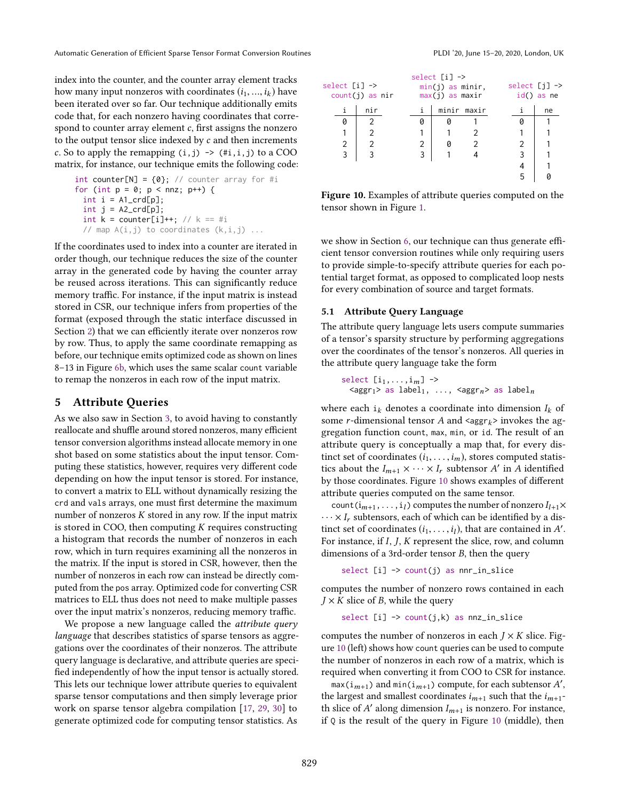index into the counter, and the counter array element tracks how many input nonzeros with coordinates  $(i_1, ..., i_k)$  have been iterated over so far. Our technique additionally emits code that, for each nonzero having coordinates that correspond to counter array element  $c$ , first assigns the nonzero to the output tensor slice indexed by c and then increments c. So to apply the remapping  $(i,j) \rightarrow (*i,i,j)$  to a COO matrix, for instance, our technique emits the following code:

```
int counter[N] = {0}; // counter array for #i
for (int p = 0; p < nnz; p++) {
 int i = A1_c \text{ord}[p];
  int j = A2_c \text{crd}[p];int k = counter[i]++; // k == #i// map A(i,j) to coordinates (k,i,j) ...
```
If the coordinates used to index into a counter are iterated in order though, our technique reduces the size of the counter array in the generated code by having the counter array be reused across iterations. This can significantly reduce memory traffic. For instance, if the input matrix is instead stored in CSR, our technique infers from properties of the format (exposed through the static interface discussed in Section [2\)](#page-1-1) that we can efficiently iterate over nonzeros row by row. Thus, to apply the same coordinate remapping as before, our technique emits optimized code as shown on lines 8-13 in Figure [6b,](#page-4-1) which uses the same scalar count variable to remap the nonzeros in each row of the input matrix.

#### <span id="page-6-0"></span>5 Attribute Queries

As we also saw in Section [3,](#page-3-0) to avoid having to constantly reallocate and shuffle around stored nonzeros, many efficient tensor conversion algorithms instead allocate memory in one shot based on some statistics about the input tensor. Computing these statistics, however, requires very different code depending on how the input tensor is stored. For instance, to convert a matrix to ELL without dynamically resizing the crd and vals arrays, one must first determine the maximum number of nonzeros K stored in any row. If the input matrix is stored in COO, then computing  $K$  requires constructing a histogram that records the number of nonzeros in each row, which in turn requires examining all the nonzeros in the matrix. If the input is stored in CSR, however, then the number of nonzeros in each row can instead be directly computed from the pos array. Optimized code for converting CSR matrices to ELL thus does not need to make multiple passes over the input matrix's nonzeros, reducing memory traffic.

We propose a new language called the *attribute query* language that describes statistics of sparse tensors as aggregations over the coordinates of their nonzeros. The attribute query language is declarative, and attribute queries are specified independently of how the input tensor is actually stored. This lets our technique lower attribute queries to equivalent sparse tensor computations and then simply leverage prior work on sparse tensor algebra compilation [\[17,](#page-14-11) [29,](#page-14-14) [30\]](#page-14-15) to generate optimized code for computing tensor statistics. As

<span id="page-6-1"></span>

| select $[i] \rightarrow$ | $count(j)$ as nir |   | select $[i] \rightarrow$<br>$min(j)$ as minir,<br>$max(j)$ as maxir | select $[j] \rightarrow$<br>$id()$ as ne |    |  |  |  |
|--------------------------|-------------------|---|---------------------------------------------------------------------|------------------------------------------|----|--|--|--|
| i                        | nir               | i | minir maxir                                                         |                                          | ne |  |  |  |
| 0                        | 2                 | Ø |                                                                     |                                          |    |  |  |  |
|                          |                   |   |                                                                     |                                          |    |  |  |  |
| 2                        |                   | 2 |                                                                     |                                          |    |  |  |  |
| 3                        |                   | 3 |                                                                     |                                          | 3  |  |  |  |
|                          |                   |   |                                                                     |                                          |    |  |  |  |
|                          |                   |   |                                                                     |                                          | 5  |  |  |  |

Figure 10. Examples of attribute queries computed on the tensor shown in Figure [1.](#page-1-0)

we show in Section [6,](#page-8-0) our technique can thus generate efficient tensor conversion routines while only requiring users to provide simple-to-specify attribute queries for each potential target format, as opposed to complicated loop nests for every combination of source and target formats.

#### 5.1 Attribute Query Language

The attribute query language lets users compute summaries of a tensor's sparsity structure by performing aggregations over the coordinates of the tensor's nonzeros. All queries in the attribute query language take the form

```
select [i_1, \ldots, i_m] \rightarrow\langle \text{aggr}_1 \rangle as label<sub>1</sub>, ..., \langle \text{aggr}_n \rangle as label<sub>n</sub>
```
where each  $i_k$  denotes a coordinate into dimension  $I_k$  of some *r*-dimensional tensor A and  $\langle \text{aggr}_k \rangle$  invokes the aggregation function count, max, min, or id. The result of an attribute query is conceptually a map that, for every distinct set of coordinates  $(i_1, \ldots, i_m)$ , stores computed statistics about the  $I_{m+1} \times \cdots \times I_r$  subtensor A' in A identified by those coordinates. Figure [10](#page-6-1) shows examples of different attribute queries computed on the same tensor.

count ( $i_{m+1},...,i_l$ ) computes the number of nonzero  $I_{l+1}\times$  $\cdots \times I_r$  subtensors, each of which can be identified by a distinct set of coordinates  $(i_1, \ldots, i_l)$ , that are contained in A'. For instance, if I, J, K represent the slice, row, and column dimensions of a 3rd-order tensor B, then the query

$$
select[i] \rightarrow count(j) as nnr_in_slice
$$

computes the number of nonzero rows contained in each  $J \times K$  slice of B, while the query

select  $[i] \rightarrow count(j,k)$  as  $nnz_in\_slice$ 

computes the number of nonzeros in each  $J \times K$  slice. Figure [10](#page-6-1) (left) shows how count queries can be used to compute the number of nonzeros in each row of a matrix, which is required when converting it from COO to CSR for instance.

 $\max(i_{m+1})$  and  $\min(i_{m+1})$  compute, for each subtensor  $A',$ the largest and smallest coordinates  $i_{m+1}$  such that the  $i_{m+1}$ th slice of  $A'$  along dimension  $I_{m+1}$  is nonzero. For instance, if  $Q$  is the result of the query in Figure [10](#page-6-1) (middle), then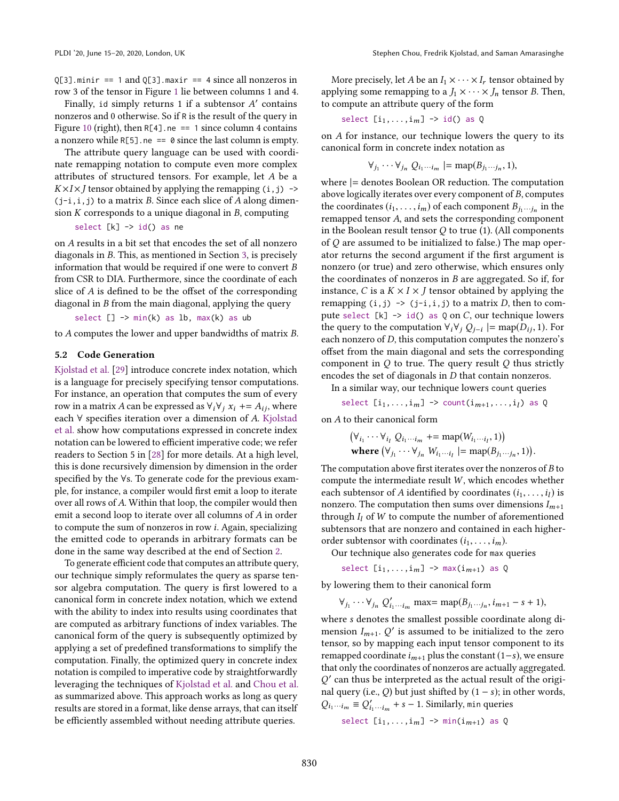$Q[3]$ .minir == 1 and  $Q[3]$ .maxir == 4 since all nonzeros in row 3 of the tensor in Figure [1](#page-1-0) lie between columns 1 and 4.

Finally, id simply returns 1 if a subtensor A' contains nonzeros and 0 otherwise. So if R is the result of the query in Figure [10](#page-6-1) (right), then  $R[4]$ .ne == 1 since column 4 contains a nonzero while  $R[5]$ .ne == 0 since the last column is empty.

The attribute query language can be used with coordinate remapping notation to compute even more complex attributes of structured tensors. For example, let A be a  $K \times I \times J$  tensor obtained by applying the remapping  $(i, j) \rightarrow$  $(j-i,i,j)$  to a matrix B. Since each slice of A along dimension  $K$  corresponds to a unique diagonal in  $B$ , computing

$$
select [k] \rightarrow id() as ne
$$

on A results in a bit set that encodes the set of all nonzero diagonals in B. This, as mentioned in Section [3,](#page-3-0) is precisely information that would be required if one were to convert B from CSR to DIA. Furthermore, since the coordinate of each slice of A is defined to be the offset of the corresponding diagonal in B from the main diagonal, applying the query

select [] -> min(k) as lb, max(k) as ub

to A computes the lower and upper bandwidths of matrix B.

#### 5.2 Code Generation

[Kjolstad et al.](#page-14-14) [\[29\]](#page-14-14) introduce concrete index notation, which is a language for precisely specifying tensor computations. For instance, an operation that computes the sum of every row in a matrix A can be expressed as  $\forall_i \forall j$   $x_i$  +=  $A_{ij}$ , where each ∀ specifies iteration over a dimension of A. [Kjolstad](#page-14-14) [et al.](#page-14-14) show how computations expressed in concrete index notation can be lowered to efficient imperative code; we refer readers to Section 5 in [\[28\]](#page-14-18) for more details. At a high level, this is done recursively dimension by dimension in the order specified by the ∀s. To generate code for the previous example, for instance, a compiler would first emit a loop to iterate over all rows of A. Within that loop, the compiler would then emit a second loop to iterate over all columns of A in order to compute the sum of nonzeros in row i. Again, specializing the emitted code to operands in arbitrary formats can be done in the same way described at the end of Section [2.](#page-1-1)

To generate efficient code that computes an attribute query, our technique simply reformulates the query as sparse tensor algebra computation. The query is first lowered to a canonical form in concrete index notation, which we extend with the ability to index into results using coordinates that are computed as arbitrary functions of index variables. The canonical form of the query is subsequently optimized by applying a set of predefined transformations to simplify the computation. Finally, the optimized query in concrete index notation is compiled to imperative code by straightforwardly leveraging the techniques of [Kjolstad et al.](#page-14-15) and [Chou et al.](#page-14-11) as summarized above. This approach works as long as query results are stored in a format, like dense arrays, that can itself be efficiently assembled without needing attribute queries.

More precisely, let A be an  $I_1 \times \cdots \times I_r$  tensor obtained by applying some remapping to a  $J_1 \times \cdots \times J_n$  tensor B. Then, to compute an attribute query of the form

select  $[i_1, \ldots, i_m] \rightarrow id()$  as Q

on A for instance, our technique lowers the query to its canonical form in concrete index notation as

$$
\forall_{j_1} \cdots \forall_{j_n} Q_{i_1 \cdots i_m} \models \mathrm{map}(B_{j_1 \cdots j_n}, 1),
$$

where |= denotes Boolean OR reduction. The computation above logically iterates over every component of B, computes the coordinates  $(i_1, \ldots, i_m)$  of each component  $B_{j_1 \cdots j_n}$  in the remapped tensor A, and sets the corresponding component in the Boolean result tensor  $Q$  to true (1). (All components of Q are assumed to be initialized to false.) The map operator returns the second argument if the first argument is nonzero (or true) and zero otherwise, which ensures only the coordinates of nonzeros in B are aggregated. So if, for instance, C is a  $K \times I \times J$  tensor obtained by applying the remapping  $(i, j) \rightarrow (j-i, i, j)$  to a matrix *D*, then to compute select  $[k] \rightarrow id()$  as  $Q$  on  $C$ , our technique lowers the query to the computation  $\forall_i \forall_j Q_{j-i} \models \text{map}(D_{ij}, 1)$ . For each nonzero of D, this computation computes the nonzero's offset from the main diagonal and sets the corresponding component in  $Q$  to true. The query result  $Q$  thus strictly encodes the set of diagonals in D that contain nonzeros.

In a similar way, our technique lowers count queries

select  $[i_1,\ldots,i_m] \rightarrow \text{count}(i_{m+1},\ldots,i_l)$  as Q

on A to their canonical form

$$
(\forall_{i_1} \cdots \forall_{i_l} Q_{i_1 \cdots i_m} == \text{map}(W_{i_1 \cdots i_l}, 1))
$$
  
where  $(\forall_{j_1} \cdots \forall_{j_n} W_{i_1 \cdots i_l} |= \text{map}(B_{j_1 \cdots j_n}, 1)).$ 

The computation above first iterates over the nonzeros of  $B$  to compute the intermediate result  $W$ , which encodes whether each subtensor of A identified by coordinates  $(i_1, \ldots, i_l)$  is nonzero. The computation then sums over dimensions  $I_{m+1}$ through  $I_l$  of W to compute the number of aforementioned subtensors that are nonzero and contained in each higherorder subtensor with coordinates  $(i_1, \ldots, i_m)$ .

Our technique also generates code for max queries

select  $[i_1,\ldots,i_m] \rightarrow \max(i_{m+1})$  as Q

by lowering them to their canonical form

$$
\forall_{j_1} \cdots \forall_{j_n} Q'_{i_1 \cdots i_m} \text{ max} = \text{map}(B_{j_1 \cdots j_n}, i_{m+1} - s + 1),
$$

where s denotes the smallest possible coordinate along dimension  $I_{m+1}$ .  $Q'$  is assumed to be initialized to the zero tensor, so by mapping each input tensor component to its remapped coordinate  $i_{m+1}$  plus the constant (1–s), we ensure that only the coordinates of nonzeros are actually aggregated. Q ′ can thus be interpreted as the actual result of the original query (i.e., Q) but just shifted by  $(1 - s)$ ; in other words,  $Q_{i_1 \cdots i_m} \equiv Q'_{i_1 \cdots i_m} + s - 1$ . Similarly, min queries

select  $[i_1,\ldots,i_m] \rightarrow \min(i_{m+1})$  as Q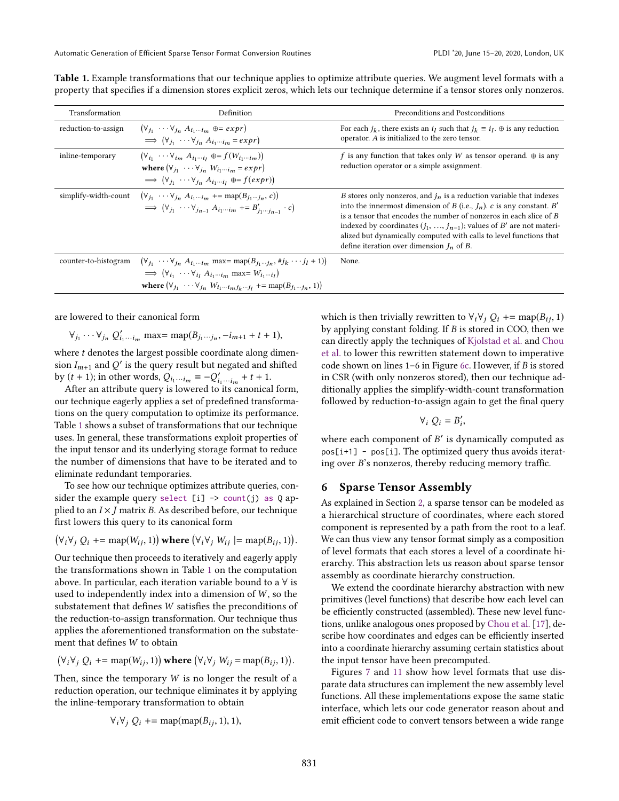| Transformation       | Definition                                                                                                                                                                                                                                                                                                                                                 | Preconditions and Postconditions                                                                                                                                                                                                                                                                                                                                                                                         |
|----------------------|------------------------------------------------------------------------------------------------------------------------------------------------------------------------------------------------------------------------------------------------------------------------------------------------------------------------------------------------------------|--------------------------------------------------------------------------------------------------------------------------------------------------------------------------------------------------------------------------------------------------------------------------------------------------------------------------------------------------------------------------------------------------------------------------|
| reduction-to-assign  | $(\forall_{i_1} \cdots \forall_{i_n} A_{i_1 \cdots i_m} \oplus = exp r)$<br>$\implies$ $(\forall_{i_1} \cdots \forall_{i_n} A_{i_1 \cdots i_m} = exp r)$                                                                                                                                                                                                   | For each $i_k$ , there exists an $i_l$ such that $i_k \equiv i_l$ . $\oplus$ is any reduction<br>operator. A is initialized to the zero tensor.                                                                                                                                                                                                                                                                          |
| inline-temporary     | $(\forall_{i_1} \cdots \forall_{i_m} A_{i_1 \cdots i_l} \oplus f(W_{i_1 \cdots i_m}))$<br>where $(\forall_{j_1} \cdots \forall_{j_n} W_{i_1 \cdots i_m} = exp r)$<br>$\implies$ $(\forall_{i_1} \cdots \forall_{i_n} A_{i_1 \cdots i_l} \oplus = f(exp))$                                                                                                  | f is any function that takes only W as tensor operand. $\oplus$ is any<br>reduction operator or a simple assignment.                                                                                                                                                                                                                                                                                                     |
| simplify-width-count | $(\forall_{i_1} \cdots \forall_{i_n} A_{i_1 \cdots i_m}$ += map( $B_{i_1 \cdots i_n}$ , c))<br>$\implies (\forall_{j_1} \cdots \forall_{j_{n-1}} A_{i_1 \cdots i_m} \negthinspace + \negthinspace = B'_{i_1 \cdots i_{n-1}} \cdot c)$                                                                                                                      | B stores only nonzeros, and $i_n$ is a reduction variable that indexes<br>into the innermost dimension of B (i.e., $J_n$ ). c is any constant. B'<br>is a tensor that encodes the number of nonzeros in each slice of B<br>indexed by coordinates $(j_1, , j_{n-1})$ ; values of B' are not materi-<br>alized but dynamically computed with calls to level functions that<br>define iteration over dimension $I_n$ of B. |
| counter-to-histogram | $(\forall_{j_1} \cdots \forall_{j_n} A_{i_1 \cdots i_m} \text{ max} = \text{map}(B_{j_1 \cdots j_n}, \# j_k \cdots j_l + 1))$<br>$\implies$ $(\forall_{i_1} \cdots \forall_{i_l} A_{i_1 \cdots i_m} \text{ max} = W_{i_1 \cdots i_l})$<br>where $(\forall_{j_1} \cdots \forall_{j_n} W_{i_1 \cdots i_m j_k \cdots j_l}$ += map( $B_{j_1 \cdots j_n}$ , 1)) | None.                                                                                                                                                                                                                                                                                                                                                                                                                    |

<span id="page-8-1"></span>Table 1. Example transformations that our technique applies to optimize attribute queries. We augment level formats with a property that specifies if a dimension stores explicit zeros, which lets our technique determine if a tensor stores only nonzeros.

are lowered to their canonical form

$$
\forall_{j_1} \cdots \forall_{j_n} Q'_{i_1 \cdots i_m}
$$
 max= map $(B_{j_1 \cdots j_n}, -i_{m+1} + t + 1)$ ,

where  $t$  denotes the largest possible coordinate along dimension  $I_{m+1}$  and  $Q'$  is the query result but negated and shifted by  $(t + 1)$ ; in other words,  $Q_{i_1 \cdots i_m} \equiv -Q'_{i_1 \cdots i_m} + t + 1$ .

After an attribute query is lowered to its canonical form, our technique eagerly applies a set of predefined transformations on the query computation to optimize its performance. Table [1](#page-8-1) shows a subset of transformations that our technique uses. In general, these transformations exploit properties of the input tensor and its underlying storage format to reduce the number of dimensions that have to be iterated and to eliminate redundant temporaries.

To see how our technique optimizes attribute queries, consider the example query select [i]  $\rightarrow$  count(j) as Q applied to an  $I \times J$  matrix B. As described before, our technique first lowers this query to its canonical form

$$
(\forall_i \forall_j Q_i \mathrel{+}= \mathrm{map}(W_{ij}, 1)) \text{ where } (\forall_i \forall_j W_{ij} \mathrel{+}= \mathrm{map}(B_{ij}, 1)).
$$

Our technique then proceeds to iteratively and eagerly apply the transformations shown in Table [1](#page-8-1) on the computation above. In particular, each iteration variable bound to a  $\forall$  is used to independently index into a dimension of  $W$ , so the substatement that defines W satisfies the preconditions of the reduction-to-assign transformation. Our technique thus applies the aforementioned transformation on the substatement that defines W to obtain

$$
(\forall_i \forall_j Q_i \mathrel{+}= \mathrm{map}(W_{ij}, 1)) \text{ where } (\forall_i \forall_j W_{ij} = \mathrm{map}(B_{ij}, 1)).
$$

Then, since the temporary  $W$  is no longer the result of a reduction operation, our technique eliminates it by applying the inline-temporary transformation to obtain

$$
\forall_i \forall_j Q_i \mathrel{+}= \text{map}(\text{map}(B_{ij}, 1), 1),
$$

which is then trivially rewritten to  $\forall_i \forall j \ Q_i \ \text{+=} \ \text{map}(B_{ij}, 1)$ by applying constant folding. If B is stored in COO, then we can directly apply the techniques of [Kjolstad et al.](#page-14-15) and [Chou](#page-14-11) [et al.](#page-14-11) to lower this rewritten statement down to imperative code shown on lines  $1-6$  in Figure [6c.](#page-4-1) However, if B is stored in CSR (with only nonzeros stored), then our technique additionally applies the simplify-width-count transformation followed by reduction-to-assign again to get the final query

$$
\forall_i\ Q_i=B'_i,
$$

where each component of  $B'$  is dynamically computed as pos[i+1] - pos[i]. The optimized query thus avoids iterating over B's nonzeros, thereby reducing memory traffic.

## <span id="page-8-0"></span>6 Sparse Tensor Assembly

As explained in Section [2,](#page-1-1) a sparse tensor can be modeled as a hierarchical structure of coordinates, where each stored component is represented by a path from the root to a leaf. We can thus view any tensor format simply as a composition of level formats that each stores a level of a coordinate hierarchy. This abstraction lets us reason about sparse tensor assembly as coordinate hierarchy construction.

We extend the coordinate hierarchy abstraction with new primitives (level functions) that describe how each level can be efficiently constructed (assembled). These new level functions, unlike analogous ones proposed by [Chou et al.](#page-14-11) [\[17\]](#page-14-11), describe how coordinates and edges can be efficiently inserted into a coordinate hierarchy assuming certain statistics about the input tensor have been precomputed.

Figures [7](#page-4-2) and [11](#page-9-0) show how level formats that use disparate data structures can implement the new assembly level functions. All these implementations expose the same static interface, which lets our code generator reason about and emit efficient code to convert tensors between a wide range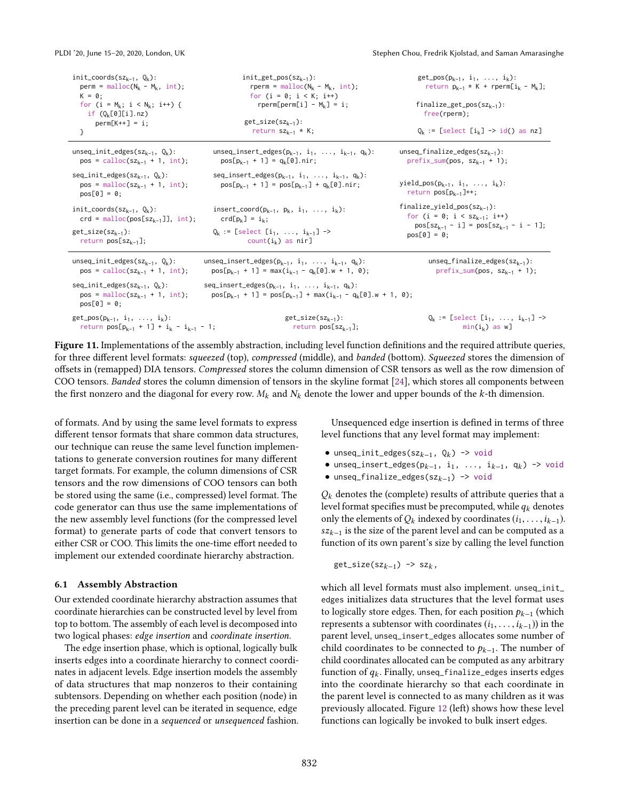<span id="page-9-0"></span>

| init_coords( $sz_{k-1}$ , $Q_k$ ):<br>$perm = malloc(N_k - M_k, int);$<br>$K = 0:$<br>for $(i = M_k; i < N_k; i++)$ {<br>if $(Q_k[0][i].nz)$<br>$perm[K++] = i;$<br>} | $init\_get\_pos(sz_{k-1})$ :<br>rperm = $m$ alloc( $N_k - M_k$ , int);<br>for $(i = 0; i < K; i++)$<br>rperm[perm[i] - $M_k$ ] = i;<br>$get\_size(sz_{k-1})$ :<br>return $sz_{k-1}$ * K; | $get_pos(p_{k-1}, i_1, , i_k)$ :<br>return $p_{k-1} * K$ + rperm[i <sub>k</sub> - M <sub>k</sub> ];<br>$finalize\_get\_pos(sz_{k-1})$ :<br>$free($ rperm $)$ :<br>$Q_k :=$ [select $[i_k] \rightarrow id()$ as nz] |  |  |  |  |  |
|-----------------------------------------------------------------------------------------------------------------------------------------------------------------------|------------------------------------------------------------------------------------------------------------------------------------------------------------------------------------------|--------------------------------------------------------------------------------------------------------------------------------------------------------------------------------------------------------------------|--|--|--|--|--|
| unseq_init_edges( $sz_{k-1}$ , $Q_k$ ):                                                                                                                               | unseq_insert_edges( $p_{k-1}$ , $i_1$ , , $i_{k-1}$ , $q_k$ ):                                                                                                                           | $unseq_finalize_{edges}(sz_{k-1})$ :                                                                                                                                                                               |  |  |  |  |  |
| pos = calloc( $sz_{k-1}$ + 1, int);                                                                                                                                   | $pos[p_{k-1} + 1] = q_k[0].nir;$                                                                                                                                                         | $prefix\_sum(pos, sz_{k-1} + 1);$                                                                                                                                                                                  |  |  |  |  |  |
| $seq\_init\_edges(sz_{k-1}, Q_k):$<br>$pos = malloc(szk-1 + 1, int);$<br>$pos[0] = 0;$                                                                                | seq_insert_edges( $p_{k-1}$ , $i_1$ , , $i_{k-1}$ , $q_k$ ):<br>$pos[p_{k-1} + 1] = pos[p_{k-1}] + q_k[0].nir;$                                                                          | yield_pos( $p_{k-1}$ , $i_1$ , , $i_k$ ):<br>return $pos[p_{k-1}]++$ ;                                                                                                                                             |  |  |  |  |  |
| init_coords(sz <sub>k-1</sub> , $Q_k$ ):                                                                                                                              | insert_coord( $p_{k-1}$ , $p_k$ , $i_1$ , , $i_k$ ):                                                                                                                                     | $finalize\_yield\_pos(sz_{k-1})$ :                                                                                                                                                                                 |  |  |  |  |  |
| $crd = \text{malloc}(pos[sz_{k-1}]], int);$                                                                                                                           | $crd[p_k] = i_k;$                                                                                                                                                                        | for $(i = 0; i < sz_{k-1}; i++)$                                                                                                                                                                                   |  |  |  |  |  |
| $get\_size(sz_{k-1})$ :                                                                                                                                               | $Q_k :=$ [select $[i_1, , i_{k-1}]$ ->                                                                                                                                                   | $pos[sz_{k-1} - i] = pos[sz_{k-1} - i - 1];$                                                                                                                                                                       |  |  |  |  |  |
| return $pos[sz_{k-1}];$                                                                                                                                               | count( $i_k$ ) as nir]                                                                                                                                                                   | $pos[0] = 0$ ;                                                                                                                                                                                                     |  |  |  |  |  |
| unseq_init_edges(sz <sub>k-1</sub> , $Q_k$ ):                                                                                                                         | unseq_insert_edges( $p_{k-1}$ , $i_1$ , , $i_{k-1}$ , $q_k$ ):                                                                                                                           | $unseq_finalize_eqges(sz_{k-1})$ :                                                                                                                                                                                 |  |  |  |  |  |
| $pos = calloc(sz_{k-1} + 1, int);$                                                                                                                                    | $pos[p_{k-1} + 1] = max(i_{k-1} - q_k[0] \cdot w + 1, 0);$                                                                                                                               | $prefix\_sum(pos, sz_{k-1} + 1);$                                                                                                                                                                                  |  |  |  |  |  |
| $seq\_init\_edges(sz_{k-1}, Q_k):$<br>$pos = malloc(szk-1 + 1, int);$<br>$pos[0] = 0$ ;                                                                               | $seq_insort_{edges}(p_{k-1}, i_1, \ldots, i_{k-1}, q_k)$ :<br>$pos[p_{k-1} + 1] = pos[p_{k-1}] + max(i_{k-1} - q_k[0] \cdot w + 1, 0);$                                                  |                                                                                                                                                                                                                    |  |  |  |  |  |
| $get_pos(p_{k-1}, i_1, , i_k)$ :                                                                                                                                      | $get\_size(sz_{k-1})$ :                                                                                                                                                                  | $0_k :=$ [select $[i_1, , i_{k-1}]$ ->                                                                                                                                                                             |  |  |  |  |  |
| return $pos[p_{k-1} + 1] + i_k - i_{k-1} - 1;$                                                                                                                        | return $pos[sz_{k-1}];$                                                                                                                                                                  | $min(i_k)$ as w]                                                                                                                                                                                                   |  |  |  |  |  |

Figure 11. Implementations of the assembly abstraction, including level function definitions and the required attribute queries, for three different level formats: squeezed (top), compressed (middle), and banded (bottom). Squeezed stores the dimension of offsets in (remapped) DIA tensors. Compressed stores the column dimension of CSR tensors as well as the row dimension of COO tensors. Banded stores the column dimension of tensors in the skyline format [\[24\]](#page-14-13), which stores all components between the first nonzero and the diagonal for every row.  $M_k$  and  $N_k$  denote the lower and upper bounds of the k-th dimension.

of formats. And by using the same level formats to express different tensor formats that share common data structures, our technique can reuse the same level function implementations to generate conversion routines for many different target formats. For example, the column dimensions of CSR tensors and the row dimensions of COO tensors can both be stored using the same (i.e., compressed) level format. The code generator can thus use the same implementations of the new assembly level functions (for the compressed level format) to generate parts of code that convert tensors to either CSR or COO. This limits the one-time effort needed to implement our extended coordinate hierarchy abstraction.

#### <span id="page-9-1"></span>6.1 Assembly Abstraction

Our extended coordinate hierarchy abstraction assumes that coordinate hierarchies can be constructed level by level from top to bottom. The assembly of each level is decomposed into two logical phases: edge insertion and coordinate insertion.

The edge insertion phase, which is optional, logically bulk inserts edges into a coordinate hierarchy to connect coordinates in adjacent levels. Edge insertion models the assembly of data structures that map nonzeros to their containing subtensors. Depending on whether each position (node) in the preceding parent level can be iterated in sequence, edge insertion can be done in a sequenced or unsequenced fashion.

Unsequenced edge insertion is defined in terms of three level functions that any level format may implement:

- unseq\_init\_edges(sz<sub>k-1</sub>,  $Q_k$ ) -> void
- unseq\_insert\_edges( $p_{k-1}$ , i<sub>1</sub>, ..., i<sub>k-1</sub>, q<sub>k</sub>) -> void
- unseq\_finalize\_edges(szk−1) -> void

 $Q_k$  denotes the (complete) results of attribute queries that a level format specifies must be precomputed, while  $q_k$  denotes only the elements of  $Q_k$  indexed by coordinates  $(i_1, \ldots, i_{k-1})$ .  $sz_{k-1}$  is the size of the parent level and can be computed as a function of its own parent's size by calling the level function

$$
\mathsf{get\_size}(\mathsf{sz}_{k-1}) \ \texttt{->} \ \mathsf{sz}_{k},
$$

which all level formats must also implement. unseq\_init\_ edges initializes data structures that the level format uses to logically store edges. Then, for each position  $p_{k-1}$  (which represents a subtensor with coordinates  $(i_1, \ldots, i_{k-1})$  in the parent level, unseq\_insert\_edges allocates some number of child coordinates to be connected to  $p_{k-1}$ . The number of child coordinates allocated can be computed as any arbitrary function of  $q_k$ . Finally, unseq\_finalize\_edges inserts edges into the coordinate hierarchy so that each coordinate in the parent level is connected to as many children as it was previously allocated. Figure [12](#page-10-0) (left) shows how these level functions can logically be invoked to bulk insert edges.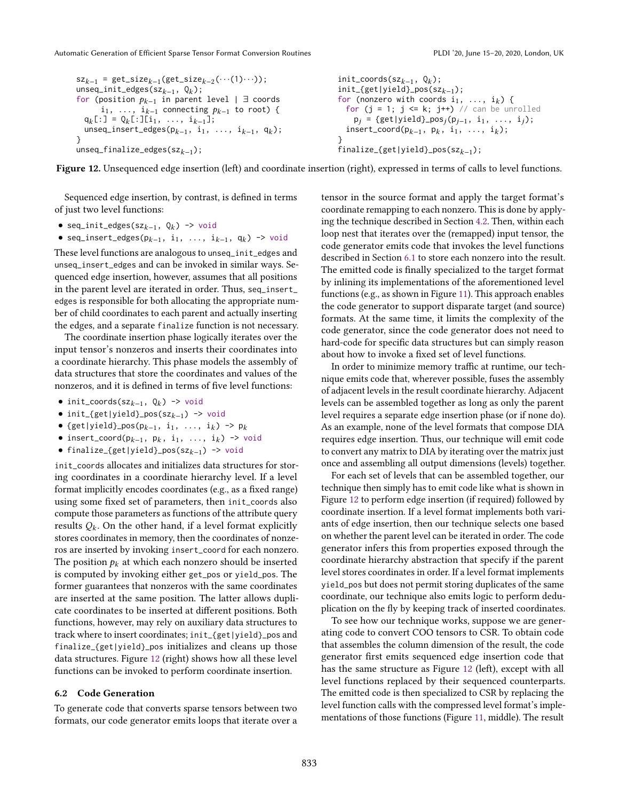<span id="page-10-0"></span>Automatic Generation of Efficient Sparse Tensor Format Conversion Routines PLACE PLOI '20, June 15-20, 2020, London, UK

```
sz_{k-1} = get\_size_{k-1}(get\_size_{k-2}(\cdots(1)\cdots));unseq_init_edges(sz<sub>k-1</sub>, Q_k);
for (position p_{k-1} in parent level | ∃ coords
       i<sub>1</sub>, ..., i<sub>k−1</sub> connecting p_{k-1} to root) {
  q_k[:] = Q<sub>k</sub>[:][i<sub>1</sub>, ..., i<sub>k-1</sub>];
  unseq_insert_edges(p<sub>k-1</sub>, i<sub>1</sub>, ..., i<sub>k-1</sub>, q<sub>k</sub>);
}
unseq_finalize_edges(sz_{k-1});
                                                                                 init_coords(sz<sub>k-1</sub>, Q_k);
                                                                                 init_{get|yield}_pos(sz<sub>k-1</sub>);
                                                                                 for (nonzero with coords i_1, \ldots, i_k) {
                                                                                    for (j = 1; j \le k; j++) // can be unrolled
                                                                                      p_j = {get|yield}_{pos_j}(p_{j-1}, i_1, ..., i_j);insert_coord(p_{k-1}, p_k, i_1, ..., i_k);
                                                                                  }
                                                                                 finalize_{get|yield}_pos(sz<sub>k-1</sub>);
```
Figure 12. Unsequenced edge insertion (left) and coordinate insertion (right), expressed in terms of calls to level functions.

Sequenced edge insertion, by contrast, is defined in terms of just two level functions:

- seq\_init\_edges(sz<sub> $k-1$ </sub>,  $Q_k$ ) -> void
- seq\_insert\_edges( $p_{k-1}$ , i<sub>1</sub>, ..., i<sub>k-1</sub>, q<sub>k</sub>) -> void

These level functions are analogous to unseq\_init\_edges and unseq\_insert\_edges and can be invoked in similar ways. Sequenced edge insertion, however, assumes that all positions in the parent level are iterated in order. Thus, seq\_insert\_ edges is responsible for both allocating the appropriate number of child coordinates to each parent and actually inserting the edges, and a separate finalize function is not necessary.

The coordinate insertion phase logically iterates over the input tensor's nonzeros and inserts their coordinates into a coordinate hierarchy. This phase models the assembly of data structures that store the coordinates and values of the nonzeros, and it is defined in terms of five level functions:

- init\_coords(sz<sub>k-1</sub>,  $Q_k$ ) -> void
- init\_{get|yield}\_pos(szk−1) -> void
- {get|yield}\_pos( $p_{k-1}$ , i<sub>1</sub>, ..., i<sub>k</sub>) ->  $p_k$
- insert\_coord( $p_{k-1}$ ,  $p_k$ ,  $i_1$ , ...,  $i_k$ ) -> void
- finalize\_{get|yield}\_pos(szk−1) -> void

init\_coords allocates and initializes data structures for storing coordinates in a coordinate hierarchy level. If a level format implicitly encodes coordinates (e.g., as a fixed range) using some fixed set of parameters, then init\_coords also compute those parameters as functions of the attribute query results  $Q_k$ . On the other hand, if a level format explicitly stores coordinates in memory, then the coordinates of nonzeros are inserted by invoking insert\_coord for each nonzero. The position  $p_k$  at which each nonzero should be inserted is computed by invoking either get\_pos or yield\_pos. The former guarantees that nonzeros with the same coordinates are inserted at the same position. The latter allows duplicate coordinates to be inserted at different positions. Both functions, however, may rely on auxiliary data structures to track where to insert coordinates; init\_{get|yield}\_pos and finalize\_{get|yield}\_pos initializes and cleans up those data structures. Figure [12](#page-10-0) (right) shows how all these level functions can be invoked to perform coordinate insertion.

#### 6.2 Code Generation

To generate code that converts sparse tensors between two formats, our code generator emits loops that iterate over a

tensor in the source format and apply the target format's coordinate remapping to each nonzero. This is done by applying the technique described in Section [4.2.](#page-5-2) Then, within each loop nest that iterates over the (remapped) input tensor, the code generator emits code that invokes the level functions described in Section [6.1](#page-9-1) to store each nonzero into the result. The emitted code is finally specialized to the target format by inlining its implementations of the aforementioned level functions (e.g., as shown in Figure [11\)](#page-9-0). This approach enables the code generator to support disparate target (and source) formats. At the same time, it limits the complexity of the code generator, since the code generator does not need to hard-code for specific data structures but can simply reason about how to invoke a fixed set of level functions.

In order to minimize memory traffic at runtime, our technique emits code that, wherever possible, fuses the assembly of adjacent levels in the result coordinate hierarchy. Adjacent levels can be assembled together as long as only the parent level requires a separate edge insertion phase (or if none do). As an example, none of the level formats that compose DIA requires edge insertion. Thus, our technique will emit code to convert any matrix to DIA by iterating over the matrix just once and assembling all output dimensions (levels) together.

For each set of levels that can be assembled together, our technique then simply has to emit code like what is shown in Figure [12](#page-10-0) to perform edge insertion (if required) followed by coordinate insertion. If a level format implements both variants of edge insertion, then our technique selects one based on whether the parent level can be iterated in order. The code generator infers this from properties exposed through the coordinate hierarchy abstraction that specify if the parent level stores coordinates in order. If a level format implements yield\_pos but does not permit storing duplicates of the same coordinate, our technique also emits logic to perform deduplication on the fly by keeping track of inserted coordinates.

To see how our technique works, suppose we are generating code to convert COO tensors to CSR. To obtain code that assembles the column dimension of the result, the code generator first emits sequenced edge insertion code that has the same structure as Figure [12](#page-10-0) (left), except with all level functions replaced by their sequenced counterparts. The emitted code is then specialized to CSR by replacing the level function calls with the compressed level format's implementations of those functions (Figure [11,](#page-9-0) middle). The result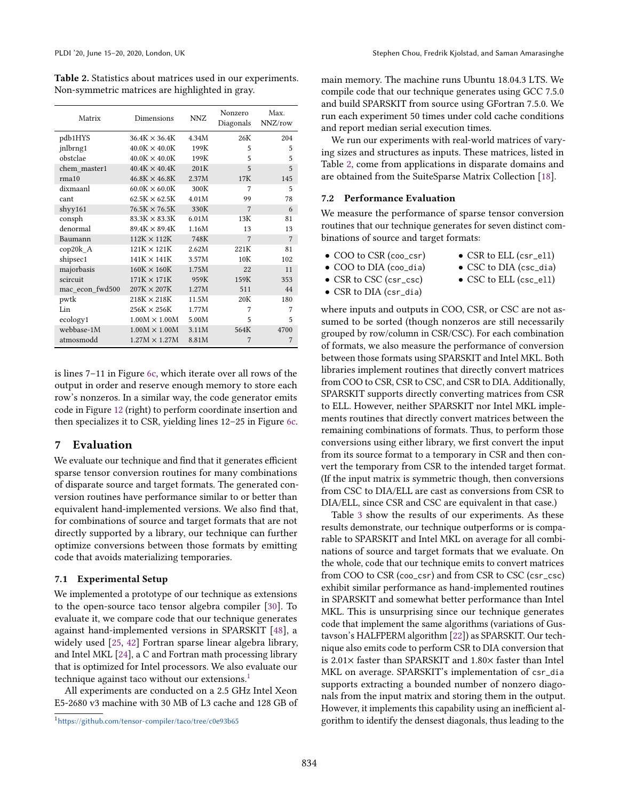<span id="page-11-2"></span>Table 2. Statistics about matrices used in our experiments. Non-symmetric matrices are highlighted in gray.

| Matrix          | Dimensions           | NN <sub>Z</sub> | Nonzero<br>Diagonals | Max.<br>NNZ/row |
|-----------------|----------------------|-----------------|----------------------|-----------------|
| pdb1HYS         | $36.4K \times 36.4K$ | 4.34M           | 26K                  | 204             |
| jnlbrng1        | $40.0K \times 40.0K$ | 199K            | 5                    | 5               |
| obstclae        | $40.0K \times 40.0K$ | 199K            | 5                    | 5               |
| chem master1    | $40.4K \times 40.4K$ | 201K            | 5                    | 5               |
| rma10           | $46.8K \times 46.8K$ | 2.37M           | 17K                  | 145             |
| dixmaanl        | $60.0K \times 60.0K$ | 300K            | 7                    | 5               |
| cant            | $62.5K \times 62.5K$ | 4.01M           | 99                   | 78              |
| shyy161         | $76.5K \times 76.5K$ | 330K            | 7                    | 6               |
| consph          | $83.3K \times 83.3K$ | 6.01M           | 13K                  | 81              |
| denormal        | $89.4K \times 89.4K$ | 1.16M           | 13                   | 13              |
| Baumann         | $112K \times 112K$   | 748K            | 7                    | 7               |
| cop20k A        | $121K \times 121K$   | 2.62M           | 221K                 | 81              |
| shipsec1        | $141K \times 141K$   | 3.57M           | 10K                  | 102             |
| majorbasis      | $160K \times 160K$   | 1.75M           | 22                   | 11              |
| scircuit        | $171K \times 171K$   | 959K            | 159K                 | 353             |
| mac_econ_fwd500 | $207K \times 207K$   | 1.27M           | 511                  | 44              |
| pwtk            | $218K \times 218K$   | 11.5M           | 20K                  | 180             |
| Lin             | $256K \times 256K$   | 1.77M           | 7                    | 7               |
| ecology1        | $1.00M \times 1.00M$ | 5.00M           | 5                    | 5               |
| webbase-1M      | $1.00M \times 1.00M$ | 3.11M           | 564K                 | 4700            |
| atmosmodd       | $1.27M \times 1.27M$ | 8.81M           | 7                    | 7               |

is lines  $7-11$  in Figure [6c,](#page-4-1) which iterate over all rows of the output in order and reserve enough memory to store each row's nonzeros. In a similar way, the code generator emits code in Figure [12](#page-10-0) (right) to perform coordinate insertion and then specializes it to CSR, yielding lines  $12-25$  in Figure [6c.](#page-4-1)

## <span id="page-11-0"></span>7 Evaluation

We evaluate our technique and find that it generates efficient sparse tensor conversion routines for many combinations of disparate source and target formats. The generated conversion routines have performance similar to or better than equivalent hand-implemented versions. We also find that, for combinations of source and target formats that are not directly supported by a library, our technique can further optimize conversions between those formats by emitting code that avoids materializing temporaries.

#### 7.1 Experimental Setup

We implemented a prototype of our technique as extensions to the open-source taco tensor algebra compiler [\[30\]](#page-14-15). To evaluate it, we compare code that our technique generates against hand-implemented versions in SPARSKIT [\[48\]](#page-15-12), a widely used [\[25,](#page-14-19) [42\]](#page-15-14) Fortran sparse linear algebra library, and Intel MKL [\[24\]](#page-14-13), a C and Fortran math processing library that is optimized for Intel processors. We also evaluate our technique against taco without our extensions.<sup>[1](#page-11-1)</sup>

All experiments are conducted on a 2.5 GHz Intel Xeon E5-2680 v3 machine with 30 MB of L3 cache and 128 GB of main memory. The machine runs Ubuntu 18.04.3 LTS. We compile code that our technique generates using GCC 7.5.0 and build SPARSKIT from source using GFortran 7.5.0. We run each experiment 50 times under cold cache conditions and report median serial execution times.

We run our experiments with real-world matrices of varying sizes and structures as inputs. These matrices, listed in Table [2,](#page-11-2) come from applications in disparate domains and are obtained from the SuiteSparse Matrix Collection [\[18\]](#page-14-20).

#### 7.2 Performance Evaluation

We measure the performance of sparse tensor conversion routines that our technique generates for seven distinct combinations of source and target formats:

- COO to CSR (coo\_csr)
- CSR to ELL (csr\_ell)
- COO to DIA (coo\_dia) • CSR to CSC (csr\_csc)
- CSC to DIA (csc\_dia)
- CSC to ELL (csc\_ell)
- CSR to DIA (csr\_dia)
- 

where inputs and outputs in COO, CSR, or CSC are not assumed to be sorted (though nonzeros are still necessarily grouped by row/column in CSR/CSC). For each combination of formats, we also measure the performance of conversion between those formats using SPARSKIT and Intel MKL. Both libraries implement routines that directly convert matrices from COO to CSR, CSR to CSC, and CSR to DIA. Additionally, SPARSKIT supports directly converting matrices from CSR to ELL. However, neither SPARSKIT nor Intel MKL implements routines that directly convert matrices between the remaining combinations of formats. Thus, to perform those conversions using either library, we first convert the input from its source format to a temporary in CSR and then convert the temporary from CSR to the intended target format. (If the input matrix is symmetric though, then conversions from CSC to DIA/ELL are cast as conversions from CSR to DIA/ELL, since CSR and CSC are equivalent in that case.)

Table [3](#page-12-0) show the results of our experiments. As these results demonstrate, our technique outperforms or is comparable to SPARSKIT and Intel MKL on average for all combinations of source and target formats that we evaluate. On the whole, code that our technique emits to convert matrices from COO to CSR (coo\_csr) and from CSR to CSC (csr\_csc) exhibit similar performance as hand-implemented routines in SPARSKIT and somewhat better performance than Intel MKL. This is unsurprising since our technique generates code that implement the same algorithms (variations of Gustavson's HALFPERM algorithm [\[22\]](#page-14-21)) as SPARSKIT. Our technique also emits code to perform CSR to DIA conversion that is 2.01× faster than SPARSKIT and 1.80× faster than Intel MKL on average. SPARSKIT's implementation of csr\_dia supports extracting a bounded number of nonzero diagonals from the input matrix and storing them in the output. However, it implements this capability using an inefficient algorithm to identify the densest diagonals, thus leading to the

<span id="page-11-1"></span><sup>&</sup>lt;sup>1</sup><https://github.com/tensor-compiler/taco/tree/c0e93b65>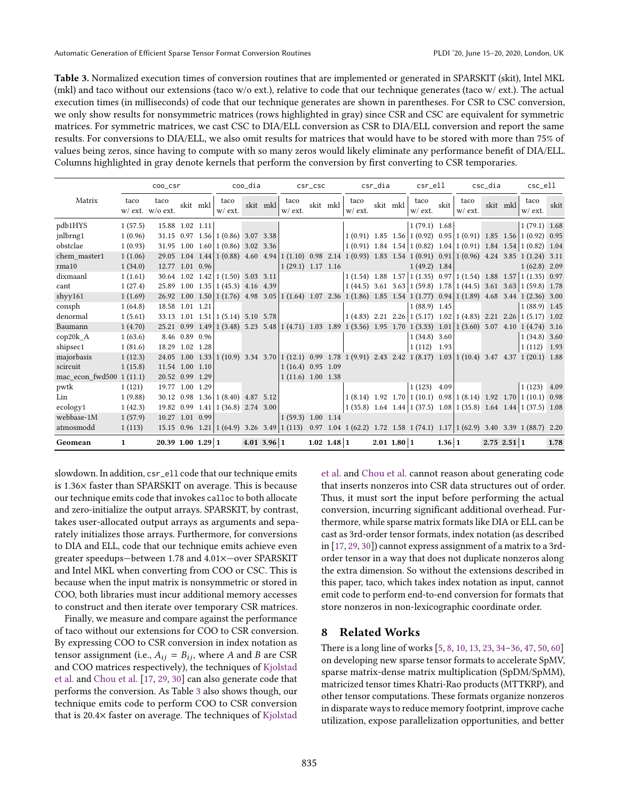<span id="page-12-0"></span>Table 3. Normalized execution times of conversion routines that are implemented or generated in SPARSKIT (skit), Intel MKL (mkl) and taco without our extensions (taco w/o ext.), relative to code that our technique generates (taco w/ ext.). The actual execution times (in milliseconds) of code that our technique generates are shown in parentheses. For CSR to CSC conversion, we only show results for nonsymmetric matrices (rows highlighted in gray) since CSR and CSC are equivalent for symmetric matrices. For symmetric matrices, we cast CSC to DIA/ELL conversion as CSR to DIA/ELL conversion and report the same results. For conversions to DIA/ELL, we also omit results for matrices that would have to be stored with more than 75% of values being zeros, since having to compute with so many zeros would likely eliminate any performance benefit of DIA/ELL. Columns highlighted in gray denote kernels that perform the conversion by first converting to CSR temporaries.

|                          |              | coo_csr                        | coo_dia        |          |                                        |             | $csr\_csc$ |                                           |  | csr_dia       |                                                                                                                                     |  | csr_ell       | csc_dia                                                               |        |                      | csc_ell         |          |                 |      |
|--------------------------|--------------|--------------------------------|----------------|----------|----------------------------------------|-------------|------------|-------------------------------------------|--|---------------|-------------------------------------------------------------------------------------------------------------------------------------|--|---------------|-----------------------------------------------------------------------|--------|----------------------|-----------------|----------|-----------------|------|
| Matrix                   | taco         | taco<br>$w$ / ext. $w$ /o ext. |                | skit mkl | taco<br>$w$ / $ext.$                   |             | skit mkl   | taco<br>$w$ / ext.                        |  | skit mkl      | taco<br>$w$ / $ext.$                                                                                                                |  | skit mkl      | taco<br>$w$ / ext.                                                    | skit   | taco<br>$w$ / $ext.$ |                 | skit mkl | taco<br>w/ ext. | skit |
| pdb1HYS                  | 1(57.5)      | 15.88 1.02 1.11                |                |          |                                        |             |            |                                           |  |               |                                                                                                                                     |  |               | 1(79.1) 1.68                                                          |        |                      |                 |          | $1(79.1)$ 1.68  |      |
| jnlbrng1                 | 1(0.96)      |                                |                |          | 31.15 $0.97$ 1.56   1 (0.86) 3.07 3.38 |             |            |                                           |  |               |                                                                                                                                     |  |               | $1(0.91)$ 1.85 1.56 $1(0.92)$ 0.95 $1(0.91)$ 1.85 1.56 $1(0.92)$ 0.95 |        |                      |                 |          |                 |      |
| obstclae                 | 1(0.93)      |                                |                |          | $31.95$ 1.00 1.60 1 (0.86) 3.02 3.36   |             |            |                                           |  |               |                                                                                                                                     |  |               | $1(0.91)$ 1.84 1.54 $1(0.82)$ 1.04 $1(0.91)$ 1.84 1.54 $1(0.82)$ 1.04 |        |                      |                 |          |                 |      |
| chem master1             | 1(1.06)      |                                |                |          |                                        |             |            |                                           |  |               | 29.05 1.04 1.44   1 (0.88) 4.60 4.94   1 (1.10) 0.98 2.14   1 (0.93) 1.83 1.54   1 (0.91) 0.91   1 (0.96) 4.24 3.85   1 (1.24) 3.11 |  |               |                                                                       |        |                      |                 |          |                 |      |
| rma10                    | 1(34.0)      | 12.77 1.01 0.96                |                |          |                                        |             |            | $\vert 1 \, (29.1) \, 1.17 \, 1.16 \vert$ |  |               |                                                                                                                                     |  |               | 1(49.2) 1.84                                                          |        |                      |                 |          | $1(62.8)$ 2.09  |      |
| dixmaanl                 | 1(1.61)      |                                |                |          | $30.64$ 1.02 1.42 1 (1.50) 5.03 3.11   |             |            |                                           |  |               |                                                                                                                                     |  |               | $1(1.54)$ 1.88 1.57 $1(1.35)$ 0.97 $1(1.54)$ 1.88 1.57 $1(1.35)$ 0.97 |        |                      |                 |          |                 |      |
| cant                     | 1(27.4)      |                                |                |          | 25.89 1.00 1.35 1 (45.3) 4.16 4.39     |             |            |                                           |  |               | $1(44.5)$ 3.61 3.63 $1(59.8)$ 1.78 $1(44.5)$ 3.61 3.63 $1(59.8)$ 1.78                                                               |  |               |                                                                       |        |                      |                 |          |                 |      |
| shyy161                  | 1(1.69)      |                                |                |          |                                        |             |            |                                           |  |               | 26.92 1.00 1.50 1 (1.76) 4.98 3.05 1 (1.64) 1.07 2.36 1 (1.86) 1.85 1.54 1 (1.77) 0.94 1 (1.89) 4.68 3.44 1 (2.36) 3.00             |  |               |                                                                       |        |                      |                 |          |                 |      |
| consph                   | 1(64.8)      | 18.58 1.01 1.21                |                |          |                                        |             |            |                                           |  |               |                                                                                                                                     |  |               | $1(88.9)$ 1.45                                                        |        |                      |                 |          | $1(88.9)$ 1.45  |      |
| denormal                 | 1(5.61)      |                                |                |          | 33.13 1.01 1.51   1 (5.14) 5.10 5.78   |             |            |                                           |  |               | $(1 (4.83) 2.21 2.26)1 (5.17) 1.02  1 (4.83) 2.21 2.26  1 (5.17) 1.02$                                                              |  |               |                                                                       |        |                      |                 |          |                 |      |
| Baumann                  | 1(4.70)      |                                |                |          |                                        |             |            |                                           |  |               | 25.21 0.99 1.49 1 (3.48) 5.23 5.48 1 (4.71) 1.03 1.89 1 (3.56) 1.95 1.70 1 (3.33) 1.01 1 (3.60) 5.07 4.10 1 (4.74) 3.16             |  |               |                                                                       |        |                      |                 |          |                 |      |
| $\text{cop20k A}$        | 1(63.6)      |                                | 8.46 0.89 0.96 |          |                                        |             |            |                                           |  |               |                                                                                                                                     |  |               | $1(34.8)$ 3.60                                                        |        |                      |                 |          | $1(34.8)$ 3.60  |      |
| shipsec1                 | 1(81.6)      | 18.29 1.02 1.28                |                |          |                                        |             |            |                                           |  |               |                                                                                                                                     |  |               | $1(112)$ 1.93                                                         |        |                      |                 |          | $1(112)$ 1.93   |      |
| majorbasis               | 1(12.3)      |                                |                |          |                                        |             |            |                                           |  |               | 24.05 1.00 1.33   1 (10.9) 3.34 3.70   1 (12.1) 0.99 1.78   1 (9.91) 2.43 2.42   1 (8.17) 1.03   1 (10.4) 3.47 4.37   1 (20.1) 1.88 |  |               |                                                                       |        |                      |                 |          |                 |      |
| scircuit                 | 1(15.8)      | 11.54 1.00 1.10                |                |          |                                        |             |            | $1(16.4)$ 0.95 1.09                       |  |               |                                                                                                                                     |  |               |                                                                       |        |                      |                 |          |                 |      |
| mac_econ_fwd500 1 (11.1) |              | 20.52 0.99 1.29                |                |          |                                        |             |            | $1(11.6)$ 1.00 1.38                       |  |               |                                                                                                                                     |  |               |                                                                       |        |                      |                 |          |                 |      |
| pwtk                     | 1(121)       | 19.77 1.00 1.29                |                |          |                                        |             |            |                                           |  |               |                                                                                                                                     |  |               | 1(123)                                                                | 4.09   |                      |                 |          | $1(123)$ 4.09   |      |
| Lin                      | 1(9.88)      |                                |                |          | 30.12 0.98 1.36 1 (8.40) 4.87 5.12     |             |            |                                           |  |               |                                                                                                                                     |  |               | $1(8.14)$ 1.92 1.70 $1(10.1)$ 0.98 $1(8.14)$ 1.92 1.70 $1(10.1)$ 0.98 |        |                      |                 |          |                 |      |
| ecology1                 | 1(42.3)      |                                |                |          | 19.82 0.99 1.41   1 (36.8) 2.74 3.00   |             |            |                                           |  |               |                                                                                                                                     |  |               | $1(35.8)$ 1.64 1.44 $1(37.5)$ 1.08 $1(35.8)$ 1.64 1.44 $1(37.5)$ 1.08 |        |                      |                 |          |                 |      |
| webbase-1M               | 1(57.9)      | $10.27$ 1.01 0.99              |                |          |                                        |             |            | 1(59.3) 1.00 1.14                         |  |               |                                                                                                                                     |  |               |                                                                       |        |                      |                 |          |                 |      |
| atmosmodd                | 1(113)       |                                |                |          |                                        |             |            |                                           |  |               | 15.15 0.96 1.21   1 (64.9) 3.26 3.49   1 (113) 0.97 1.04   1 (62.2) 1.72 1.58   1 (74.1) 1.17   1 (62.9) 3.40 3.39   1 (88.7) 2.20  |  |               |                                                                       |        |                      |                 |          |                 |      |
| Geomean                  | $\mathbf{1}$ | $20.39$ 1.00 1.29 1            |                |          |                                        | 4.01 3.96 1 |            |                                           |  | $1.02$ 1.48 1 |                                                                                                                                     |  | $2.01$ 1.80 1 |                                                                       | 1.36 1 |                      | $2.75$ $2.51$ 1 |          |                 | 1.78 |

slowdown. In addition, csr\_ell code that our technique emits is 1.36× faster than SPARSKIT on average. This is because our technique emits code that invokes calloc to both allocate and zero-initialize the output arrays. SPARSKIT, by contrast, takes user-allocated output arrays as arguments and separately initializes those arrays. Furthermore, for conversions to DIA and ELL, code that our technique emits achieve even greater speedups-between 1.78 and 4.01×–over SPARSKIT and Intel MKL when converting from COO or CSC. This is because when the input matrix is nonsymmetric or stored in COO, both libraries must incur additional memory accesses to construct and then iterate over temporary CSR matrices.

Finally, we measure and compare against the performance of taco without our extensions for COO to CSR conversion. By expressing COO to CSR conversion in index notation as tensor assignment (i.e.,  $A_{ij} = B_{ij}$ , where A and B are CSR and COO matrices respectively), the techniques of [Kjolstad](#page-14-15) [et al.](#page-14-15) and [Chou et al.](#page-14-11) [\[17,](#page-14-11) [29,](#page-14-14) [30\]](#page-14-15) can also generate code that performs the conversion. As Table [3](#page-12-0) also shows though, our technique emits code to perform COO to CSR conversion that is 20.4× faster on average. The techniques of [Kjolstad](#page-14-15)

[et al.](#page-14-15) and [Chou et al.](#page-14-11) cannot reason about generating code that inserts nonzeros into CSR data structures out of order. Thus, it must sort the input before performing the actual conversion, incurring significant additional overhead. Furthermore, while sparse matrix formats like DIA or ELL can be cast as 3rd-order tensor formats, index notation (as described in [\[17,](#page-14-11) [29,](#page-14-14) [30\]](#page-14-15)) cannot express assignment of a matrix to a 3rdorder tensor in a way that does not duplicate nonzeros along the extra dimension. So without the extensions described in this paper, taco, which takes index notation as input, cannot emit code to perform end-to-end conversion for formats that store nonzeros in non-lexicographic coordinate order.

# 8 Related Works

There is a long line of works  $[5, 8, 10, 13, 23, 34-36, 47, 50, 60]$  $[5, 8, 10, 13, 23, 34-36, 47, 50, 60]$  $[5, 8, 10, 13, 23, 34-36, 47, 50, 60]$  $[5, 8, 10, 13, 23, 34-36, 47, 50, 60]$  $[5, 8, 10, 13, 23, 34-36, 47, 50, 60]$  $[5, 8, 10, 13, 23, 34-36, 47, 50, 60]$  $[5, 8, 10, 13, 23, 34-36, 47, 50, 60]$  $[5, 8, 10, 13, 23, 34-36, 47, 50, 60]$  $[5, 8, 10, 13, 23, 34-36, 47, 50, 60]$  $[5, 8, 10, 13, 23, 34-36, 47, 50, 60]$  $[5, 8, 10, 13, 23, 34-36, 47, 50, 60]$  $[5, 8, 10, 13, 23, 34-36, 47, 50, 60]$  $[5, 8, 10, 13, 23, 34-36, 47, 50, 60]$  $[5, 8, 10, 13, 23, 34-36, 47, 50, 60]$  $[5, 8, 10, 13, 23, 34-36, 47, 50, 60]$  $[5, 8, 10, 13, 23, 34-36, 47, 50, 60]$ on developing new sparse tensor formats to accelerate SpMV, sparse matrix-dense matrix multiplication (SpDM/SpMM), matricized tensor times Khatri-Rao products (MTTKRP), and other tensor computations. These formats organize nonzeros in disparate ways to reduce memory footprint, improve cache utilization, expose parallelization opportunities, and better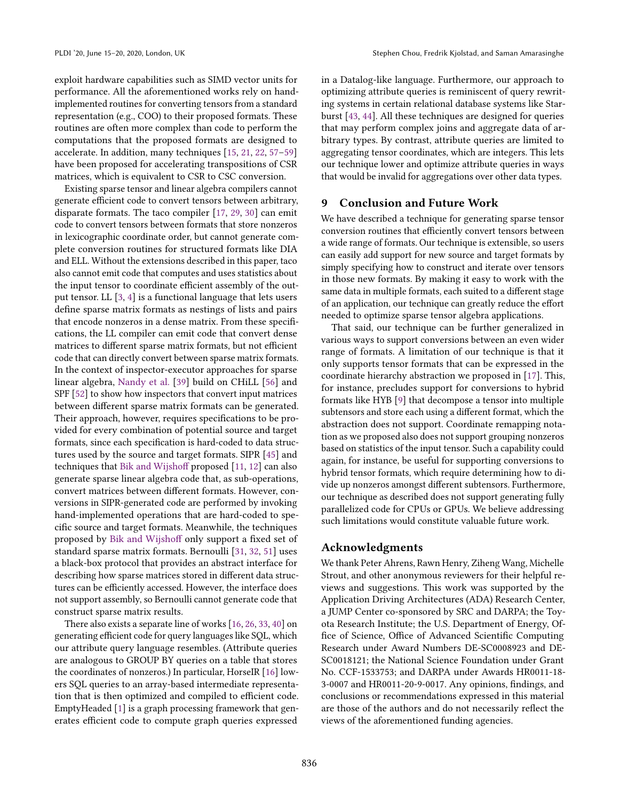exploit hardware capabilities such as SIMD vector units for performance. All the aforementioned works rely on handimplemented routines for converting tensors from a standard representation (e.g., COO) to their proposed formats. These routines are often more complex than code to perform the computations that the proposed formats are designed to accelerate. In addition, many techniques  $[15, 21, 22, 57-59]$  $[15, 21, 22, 57-59]$  $[15, 21, 22, 57-59]$  $[15, 21, 22, 57-59]$  $[15, 21, 22, 57-59]$  $[15, 21, 22, 57-59]$ have been proposed for accelerating transpositions of CSR matrices, which is equivalent to CSR to CSC conversion.

Existing sparse tensor and linear algebra compilers cannot generate efficient code to convert tensors between arbitrary, disparate formats. The taco compiler [\[17,](#page-14-11) [29,](#page-14-14) [30\]](#page-14-15) can emit code to convert tensors between formats that store nonzeros in lexicographic coordinate order, but cannot generate complete conversion routines for structured formats like DIA and ELL. Without the extensions described in this paper, taco also cannot emit code that computes and uses statistics about the input tensor to coordinate efficient assembly of the output tensor. LL [\[3,](#page-14-25) [4\]](#page-14-26) is a functional language that lets users define sparse matrix formats as nestings of lists and pairs that encode nonzeros in a dense matrix. From these specifications, the LL compiler can emit code that convert dense matrices to different sparse matrix formats, but not efficient code that can directly convert between sparse matrix formats. In the context of inspector-executor approaches for sparse linear algebra, [Nandy et al.](#page-15-17) [\[39\]](#page-15-17) build on CHiLL [\[56\]](#page-15-18) and SPF [\[52\]](#page-15-19) to show how inspectors that convert input matrices between different sparse matrix formats can be generated. Their approach, however, requires specifications to be provided for every combination of potential source and target formats, since each specification is hard-coded to data structures used by the source and target formats. SIPR [\[45\]](#page-15-20) and techniques that [Bik and Wijshoff](#page-14-27) proposed [\[11,](#page-14-27) [12\]](#page-14-28) can also generate sparse linear algebra code that, as sub-operations, convert matrices between different formats. However, conversions in SIPR-generated code are performed by invoking hand-implemented operations that are hard-coded to specific source and target formats. Meanwhile, the techniques proposed by [Bik and Wijshoff](#page-14-27) only support a fixed set of standard sparse matrix formats. Bernoulli [\[31,](#page-14-29) [32,](#page-14-30) [51\]](#page-15-21) uses a black-box protocol that provides an abstract interface for describing how sparse matrices stored in different data structures can be efficiently accessed. However, the interface does not support assembly, so Bernoulli cannot generate code that construct sparse matrix results.

There also exists a separate line of works [\[16,](#page-14-31) [26,](#page-14-32) [33,](#page-14-33) [40\]](#page-15-22) on generating efficient code for query languages like SQL, which our attribute query language resembles. (Attribute queries are analogous to GROUP BY queries on a table that stores the coordinates of nonzeros.) In particular, HorseIR [\[16\]](#page-14-31) lowers SQL queries to an array-based intermediate representation that is then optimized and compiled to efficient code. EmptyHeaded [\[1\]](#page-14-34) is a graph processing framework that generates efficient code to compute graph queries expressed

in a Datalog-like language. Furthermore, our approach to optimizing attribute queries is reminiscent of query rewriting systems in certain relational database systems like Starburst [\[43,](#page-15-23) [44\]](#page-15-24). All these techniques are designed for queries that may perform complex joins and aggregate data of arbitrary types. By contrast, attribute queries are limited to aggregating tensor coordinates, which are integers. This lets our technique lower and optimize attribute queries in ways that would be invalid for aggregations over other data types.

## 9 Conclusion and Future Work

We have described a technique for generating sparse tensor conversion routines that efficiently convert tensors between a wide range of formats. Our technique is extensible, so users can easily add support for new source and target formats by simply specifying how to construct and iterate over tensors in those new formats. By making it easy to work with the same data in multiple formats, each suited to a different stage of an application, our technique can greatly reduce the effort needed to optimize sparse tensor algebra applications.

That said, our technique can be further generalized in various ways to support conversions between an even wider range of formats. A limitation of our technique is that it only supports tensor formats that can be expressed in the coordinate hierarchy abstraction we proposed in [\[17\]](#page-14-11). This, for instance, precludes support for conversions to hybrid formats like HYB [\[9\]](#page-14-35) that decompose a tensor into multiple subtensors and store each using a different format, which the abstraction does not support. Coordinate remapping notation as we proposed also does not support grouping nonzeros based on statistics of the input tensor. Such a capability could again, for instance, be useful for supporting conversions to hybrid tensor formats, which require determining how to divide up nonzeros amongst different subtensors. Furthermore, our technique as described does not support generating fully parallelized code for CPUs or GPUs. We believe addressing such limitations would constitute valuable future work.

### Acknowledgments

We thank Peter Ahrens, Rawn Henry, Ziheng Wang, Michelle Strout, and other anonymous reviewers for their helpful reviews and suggestions. This work was supported by the Application Driving Architectures (ADA) Research Center, a JUMP Center co-sponsored by SRC and DARPA; the Toyota Research Institute; the U.S. Department of Energy, Office of Science, Office of Advanced Scientific Computing Research under Award Numbers DE-SC0008923 and DE-SC0018121; the National Science Foundation under Grant No. CCF-1533753; and DARPA under Awards HR0011-18- 3-0007 and HR0011-20-9-0017. Any opinions, findings, and conclusions or recommendations expressed in this material are those of the authors and do not necessarily reflect the views of the aforementioned funding agencies.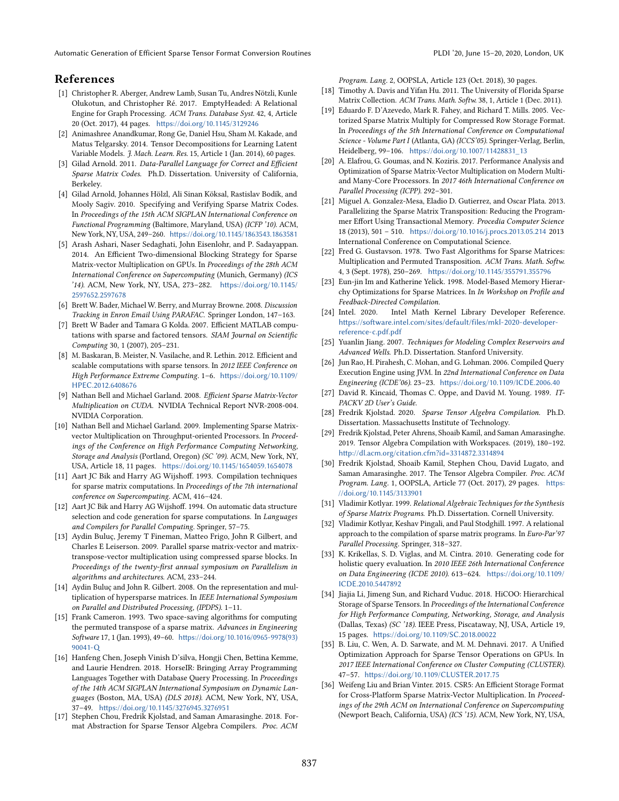## References

- <span id="page-14-34"></span>[1] Christopher R. Aberger, Andrew Lamb, Susan Tu, Andres Nötzli, Kunle Olukotun, and Christopher Ré. 2017. EmptyHeaded: A Relational Engine for Graph Processing. ACM Trans. Database Syst. 42, 4, Article 20 (Oct. 2017), 44 pages. <https://doi.org/10.1145/3129246>
- <span id="page-14-0"></span>[2] Animashree Anandkumar, Rong Ge, Daniel Hsu, Sham M. Kakade, and Matus Telgarsky. 2014. Tensor Decompositions for Learning Latent Variable Models. J. Mach. Learn. Res. 15, Article 1 (Jan. 2014), 60 pages.
- <span id="page-14-25"></span>[3] Gilad Arnold. 2011. Data-Parallel Language for Correct and Efficient Sparse Matrix Codes. Ph.D. Dissertation. University of California, Berkeley.
- <span id="page-14-26"></span>[4] Gilad Arnold, Johannes Hölzl, Ali Sinan Köksal, Rastislav Bodík, and Mooly Sagiv. 2010. Specifying and Verifying Sparse Matrix Codes. In Proceedings of the 15th ACM SIGPLAN International Conference on Functional Programming (Baltimore, Maryland, USA) (ICFP '10). ACM, New York, NY, USA, 249-260. <https://doi.org/10.1145/1863543.1863581>
- <span id="page-14-2"></span>[5] Arash Ashari, Naser Sedaghati, John Eisenlohr, and P. Sadayappan. 2014. An Efficient Two-dimensional Blocking Strategy for Sparse Matrix-vector Multiplication on GPUs. In Proceedings of the 28th ACM International Conference on Supercomputing (Munich, Germany) (ICS '14). ACM, New York, NY, USA, 273-282. [https://doi.org/10.1145/](https://doi.org/10.1145/2597652.2597678) [2597652.2597678](https://doi.org/10.1145/2597652.2597678)
- <span id="page-14-1"></span>[6] Brett W. Bader, Michael W. Berry, and Murray Browne. 2008. Discussion Tracking in Enron Email Using PARAFAC. Springer London, 147-163.
- <span id="page-14-3"></span>[7] Brett W Bader and Tamara G Kolda. 2007. Efficient MATLAB computations with sparse and factored tensors. SIAM Journal on Scientific Computing 30, 1 (2007), 205-231.
- <span id="page-14-4"></span>[8] M. Baskaran, B. Meister, N. Vasilache, and R. Lethin. 2012. Efficient and scalable computations with sparse tensors. In 2012 IEEE Conference on High Performance Extreme Computing. 1-6. [https://doi.org/10.1109/](https://doi.org/10.1109/HPEC.2012.6408676) [HPEC.2012.6408676](https://doi.org/10.1109/HPEC.2012.6408676)
- <span id="page-14-35"></span>[9] Nathan Bell and Michael Garland. 2008. Efficient Sparse Matrix-Vector Multiplication on CUDA. NVIDIA Technical Report NVR-2008-004. NVIDIA Corporation.
- <span id="page-14-5"></span>[10] Nathan Bell and Michael Garland. 2009. Implementing Sparse Matrixvector Multiplication on Throughput-oriented Processors. In Proceedings of the Conference on High Performance Computing Networking, Storage and Analysis (Portland, Oregon) (SC '09). ACM, New York, NY, USA, Article 18, 11 pages. <https://doi.org/10.1145/1654059.1654078>
- <span id="page-14-27"></span>[11] Aart JC Bik and Harry AG Wijshoff. 1993. Compilation techniques for sparse matrix computations. In Proceedings of the 7th international conference on Supercomputing. ACM, 416-424.
- <span id="page-14-28"></span>[12] Aart JC Bik and Harry AG Wijshoff. 1994. On automatic data structure selection and code generation for sparse computations. In Languages and Compilers for Parallel Computing. Springer, 57-75.
- <span id="page-14-6"></span>[13] Aydin Buluç, Jeremy T Fineman, Matteo Frigo, John R Gilbert, and Charles E Leiserson. 2009. Parallel sparse matrix-vector and matrixtranspose-vector multiplication using compressed sparse blocks. In Proceedings of the twenty-first annual symposium on Parallelism in algorithms and architectures. ACM, 233-244.
- <span id="page-14-7"></span>[14] Aydin Buluç and John R. Gilbert. 2008. On the representation and multiplication of hypersparse matrices. In IEEE International Symposium on Parallel and Distributed Processing, (IPDPS). 1-11.
- <span id="page-14-23"></span>[15] Frank Cameron. 1993. Two space-saving algorithms for computing the permuted transpose of a sparse matrix. Advances in Engineering Software 17, 1 (Jan. 1993), 49-60. [https://doi.org/10.1016/0965-9978\(93\)](https://doi.org/10.1016/0965-9978(93)90041-Q) [90041-Q](https://doi.org/10.1016/0965-9978(93)90041-Q)
- <span id="page-14-31"></span>[16] Hanfeng Chen, Joseph Vinish D'silva, Hongji Chen, Bettina Kemme, and Laurie Hendren. 2018. HorseIR: Bringing Array Programming Languages Together with Database Query Processing. In Proceedings of the 14th ACM SIGPLAN International Symposium on Dynamic Languages (Boston, MA, USA) (DLS 2018). ACM, New York, NY, USA, 37-49. <https://doi.org/10.1145/3276945.3276951>
- <span id="page-14-11"></span>[17] Stephen Chou, Fredrik Kjolstad, and Saman Amarasinghe. 2018. Format Abstraction for Sparse Tensor Algebra Compilers. Proc. ACM

Program. Lang. 2, OOPSLA, Article 123 (Oct. 2018), 30 pages.

- <span id="page-14-20"></span>[18] Timothy A. Davis and Yifan Hu. 2011. The University of Florida Sparse Matrix Collection. ACM Trans. Math. Softw. 38, 1, Article 1 (Dec. 2011).
- <span id="page-14-16"></span>[19] Eduardo F. D'Azevedo, Mark R. Fahey, and Richard T. Mills. 2005. Vectorized Sparse Matrix Multiply for Compressed Row Storage Format. In Proceedings of the 5th International Conference on Computational Science - Volume Part I (Atlanta, GA) (ICCS'05). Springer-Verlag, Berlin, Heidelberg, 99-106. [https://doi.org/10.1007/11428831\\_13](https://doi.org/10.1007/11428831_13)
- <span id="page-14-12"></span>[20] A. Elafrou, G. Goumas, and N. Koziris. 2017. Performance Analysis and Optimization of Sparse Matrix-Vector Multiplication on Modern Multiand Many-Core Processors. In 2017 46th International Conference on Parallel Processing (ICPP). 292-301.
- <span id="page-14-24"></span>[21] Miguel A. Gonzalez-Mesa, Eladio D. Gutierrez, and Oscar Plata. 2013. Parallelizing the Sparse Matrix Transposition: Reducing the Programmer Effort Using Transactional Memory. Procedia Computer Science 18 (2013), 501 - 510. <https://doi.org/10.1016/j.procs.2013.05.214> 2013 International Conference on Computational Science.
- <span id="page-14-21"></span>[22] Fred G. Gustavson. 1978. Two Fast Algorithms for Sparse Matrices: Multiplication and Permuted Transposition. ACM Trans. Math. Softw. 4, 3 (Sept. 1978), 250-269. <https://doi.org/10.1145/355791.355796>
- <span id="page-14-8"></span>[23] Eun-jin Im and Katherine Yelick. 1998. Model-Based Memory Hierarchy Optimizations for Sparse Matrices. In In Workshop on Profile and Feedback-Directed Compilation.
- <span id="page-14-13"></span>[24] Intel. 2020. Intel Math Kernel Library Developer Reference. [https://software.intel.com/sites/default/files/mkl-2020-developer](https://software.intel.com/sites/default/files/mkl-2020-developer-reference-c.pdf.pdf)[reference-c.pdf.pdf](https://software.intel.com/sites/default/files/mkl-2020-developer-reference-c.pdf.pdf)
- <span id="page-14-19"></span>[25] Yuanlin Jiang. 2007. Techniques for Modeling Complex Reservoirs and Advanced Wells. Ph.D. Dissertation. Stanford University.
- <span id="page-14-32"></span>[26] Jun Rao, H. Pirahesh, C. Mohan, and G. Lohman. 2006. Compiled Query Execution Engine using JVM. In 22nd International Conference on Data Engineering (ICDE'06). 23-23. <https://doi.org/10.1109/ICDE.2006.40>
- <span id="page-14-9"></span>[27] David R. Kincaid, Thomas C. Oppe, and David M. Young. 1989. IT-PACKV 2D User's Guide.
- <span id="page-14-18"></span>[28] Fredrik Kjolstad. 2020. Sparse Tensor Algebra Compilation. Ph.D. Dissertation. Massachusetts Institute of Technology.
- <span id="page-14-14"></span>[29] Fredrik Kjolstad, Peter Ahrens, Shoaib Kamil, and Saman Amarasinghe. 2019. Tensor Algebra Compilation with Workspaces. (2019), 180-192. <http://dl.acm.org/citation.cfm?id=3314872.3314894>
- <span id="page-14-15"></span>[30] Fredrik Kjolstad, Shoaib Kamil, Stephen Chou, David Lugato, and Saman Amarasinghe. 2017. The Tensor Algebra Compiler. Proc. ACM Program. Lang. 1, OOPSLA, Article 77 (Oct. 2017), 29 pages. [https:](https://doi.org/10.1145/3133901) [//doi.org/10.1145/3133901](https://doi.org/10.1145/3133901)
- <span id="page-14-29"></span>[31] Vladimir Kotlyar. 1999. Relational Algebraic Techniques for the Synthesis of Sparse Matrix Programs. Ph.D. Dissertation. Cornell University.
- <span id="page-14-30"></span>[32] Vladimir Kotlyar, Keshav Pingali, and Paul Stodghill. 1997. A relational approach to the compilation of sparse matrix programs. In Euro-Par'97 Parallel Processing. Springer, 318-327.
- <span id="page-14-33"></span>[33] K. Krikellas, S. D. Viglas, and M. Cintra. 2010. Generating code for holistic query evaluation. In 2010 IEEE 26th International Conference on Data Engineering (ICDE 2010). 613-624. [https://doi.org/10.1109/](https://doi.org/10.1109/ICDE.2010.5447892) [ICDE.2010.5447892](https://doi.org/10.1109/ICDE.2010.5447892)
- <span id="page-14-10"></span>[34] Jiajia Li, Jimeng Sun, and Richard Vuduc. 2018. HiCOO: Hierarchical Storage of Sparse Tensors. In Proceedings of the International Conference for High Performance Computing, Networking, Storage, and Analysis (Dallas, Texas) (SC '18). IEEE Press, Piscataway, NJ, USA, Article 19, 15 pages. <https://doi.org/10.1109/SC.2018.00022>
- <span id="page-14-17"></span>[35] B. Liu, C. Wen, A. D. Sarwate, and M. M. Dehnavi. 2017. A Unified Optimization Approach for Sparse Tensor Operations on GPUs. In 2017 IEEE International Conference on Cluster Computing (CLUSTER). 47-57. <https://doi.org/10.1109/CLUSTER.2017.75>
- <span id="page-14-22"></span>[36] Weifeng Liu and Brian Vinter. 2015. CSR5: An Efficient Storage Format for Cross-Platform Sparse Matrix-Vector Multiplication. In Proceedings of the 29th ACM on International Conference on Supercomputing (Newport Beach, California, USA) (ICS '15). ACM, New York, NY, USA,